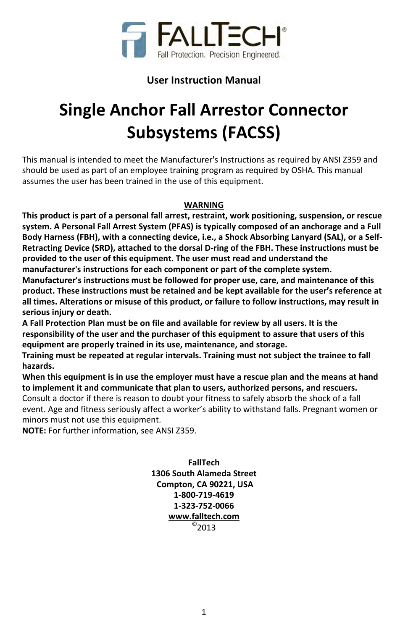

## **User Instruction Manual**

# **Single Anchor Fall Arrestor Connector Subsystems (FACSS)**

This manual is intended to meet the Manufacturer's Instructions as required by ANSI Z359 and should be used as part of an employee training program as required by OSHA. This manual assumes the user has been trained in the use of this equipment.

### **WARNING**

**This product is part of a personal fall arrest, restraint, work positioning, suspension, or rescue system. A Personal Fall Arrest System (PFAS) is typically composed of an anchorage and a Full Body Harness (FBH), with a connecting device, i.e., a Shock Absorbing Lanyard (SAL), or a Self‐ Retracting Device (SRD), attached to the dorsal D‐ring of the FBH. These instructions must be provided to the user of this equipment. The user must read and understand the manufacturer's instructions for each component or part of the complete system.**

**Manufacturer's instructions must be followed for proper use, care, and maintenance of this product. These instructions must be retained and be kept available for the user's reference at all times. Alterations or misuse of this product, or failure to follow instructions, may result in serious injury or death.**

**A Fall Protection Plan must be on file and available for review by all users. It is the responsibility of the user and the purchaser of this equipment to assure that users of this equipment are properly trained in its use, maintenance, and storage.**

**Training must be repeated at regular intervals. Training must not subject the trainee to fall hazards.**

**When this equipment is in use the employer must have a rescue plan and the means at hand to implement it and communicate that plan to users, authorized persons, and rescuers.**

Consult a doctor if there is reason to doubt your fitness to safely absorb the shock of a fall event. Age and fitness seriously affect a worker's ability to withstand falls. Pregnant women or minors must not use this equipment.

**NOTE:** For further information, see ANSI Z359.

**FallTech 1306 South Alameda Street Compton, CA 90221, USA 1‐800‐719‐4619 1‐323‐752‐0066 www.falltech.com**<br><sup>©</sup>2013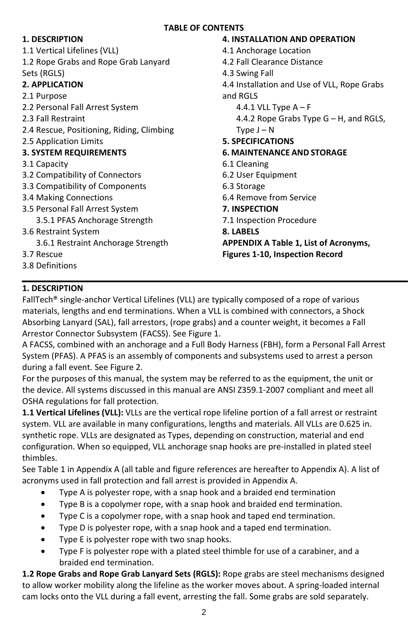## **1. DESCRIPTION**

1.1 Vertical Lifelines (VLL) 1.2 Rope Grabs and Rope Grab Lanyard Sets (RGLS) **2. APPLICATION**

### 2.1 Purpose

- 2.2 Personal Fall Arrest System
- 2.3 Fall Restraint
- 2.4 Rescue, Positioning, Riding, Climbing
- 2.5 Application Limits

## **3. SYSTEM REQUIREMENTS**

- 3.1 Capacity
- 3.2 Compatibility of Connectors
- 3.3 Compatibility of Components
- 3.4 Making Connections
- 3.5 Personal Fall Arrest System 3.5.1 PFAS Anchorage Strength
- 3.6 Restraint System
	- 3.6.1 Restraint Anchorage Strength
- 3.7 Rescue
- 3.8 Definitions

### **4. INSTALLATION AND OPERATION** 4.1 Anchorage Location 4.2 Fall Clearance Distance 4.3 Swing Fall 4.4 Installation and Use of VLL, Rope Grabs and RGLS 4.4.1 VLL Type  $A - F$ 4.4.2 Rope Grabs Type G – H, and RGLS, Type J – N **5. SPECIFICATIONS 6. MAINTENANCE AND STORAGE** 6.1 Cleaning 6.2 User Equipment 6.3 Storage 6.4 Remove from Service **7. INSPECTION** 7.1 Inspection Procedure **8. LABELS APPENDIX A Table 1, List of Acronyms, Figures 1‐10, Inspection Record**

## **1. DESCRIPTION**

FallTech® single‐anchor Vertical Lifelines (VLL) are typically composed of a rope of various materials, lengths and end terminations. When a VLL is combined with connectors, a Shock Absorbing Lanyard (SAL), fall arrestors, (rope grabs) and a counter weight, it becomes a Fall Arrestor Connector Subsystem (FACSS). See Figure 1.

A FACSS, combined with an anchorage and a Full Body Harness (FBH), form a Personal Fall Arrest System (PFAS). A PFAS is an assembly of components and subsystems used to arrest a person during a fall event. See Figure 2.

For the purposes of this manual, the system may be referred to as the equipment, the unit or the device. All systems discussed in this manual are ANSI Z359.1‐2007 compliant and meet all OSHA regulations for fall protection.

**1.1 Vertical Lifelines (VLL):** VLLs are the vertical rope lifeline portion of a fall arrest or restraint system. VLL are available in many configurations, lengths and materials. All VLLs are 0.625 in. synthetic rope. VLLs are designated as Types, depending on construction, material and end configuration. When so equipped, VLL anchorage snap hooks are pre‐installed in plated steel thimbles.

See Table 1 in Appendix A (all table and figure references are hereafter to Appendix A). A list of acronyms used in fall protection and fall arrest is provided in Appendix A.

- Type A is polyester rope, with a snap hook and a braided end termination
- Type B is a copolymer rope, with a snap hook and braided end termination.
- Type C is a copolymer rope, with a snap hook and taped end termination.
- Type D is polyester rope, with a snap hook and a taped end termination.
- Type E is polyester rope with two snap hooks.
- Type F is polyester rope with a plated steel thimble for use of a carabiner, and a braided end termination.

**1.2 Rope Grabs and Rope Grab Lanyard Sets (RGLS):** Rope grabs are steel mechanisms designed to allow worker mobility along the lifeline as the worker moves about. A spring‐loaded internal cam locks onto the VLL during a fall event, arresting the fall. Some grabs are sold separately.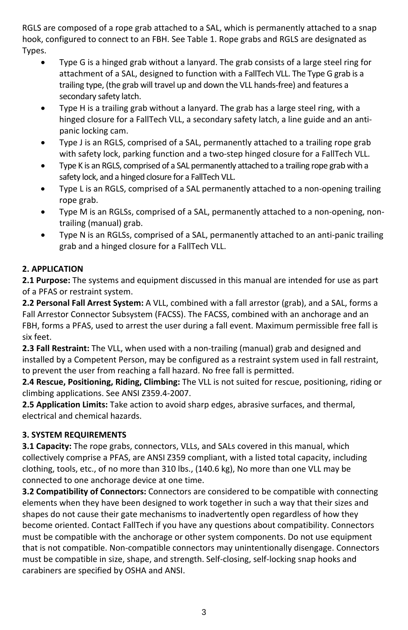RGLS are composed of a rope grab attached to a SAL, which is permanently attached to a snap hook, configured to connect to an FBH. See Table 1. Rope grabs and RGLS are designated as Types.

- Type G is a hinged grab without a lanyard. The grab consists of a large steel ring for attachment of a SAL, designed to function with a FallTech VLL. The Type G grab is a trailing type, (the grab will travel up and down the VLL hands‐free) and features a secondary safety latch.
- Type H is a trailing grab without a lanyard. The grab has a large steel ring, with a hinged closure for a FallTech VLL, a secondary safety latch, a line guide and an anti‐ panic locking cam.
- Type J is an RGLS, comprised of a SAL, permanently attached to a trailing rope grab with safety lock, parking function and a two-step hinged closure for a FallTech VLL.
- Type K is an RGLS, comprised of a SAL permanently attached to a trailing rope grab with a safety lock, and a hinged closure for a FallTech VLL.
- Type L is an RGLS, comprised of a SAL permanently attached to a non‐opening trailing rope grab.
- Type M is an RGLSs, comprised of a SAL, permanently attached to a non‐opening, non‐ trailing (manual) grab.
- Type N is an RGLSs, comprised of a SAL, permanently attached to an anti-panic trailing grab and a hinged closure for a FallTech VLL.

## **2. APPLICATION**

**2.1 Purpose:** The systems and equipment discussed in this manual are intended for use as part of a PFAS or restraint system.

**2.2 Personal Fall Arrest System:** A VLL, combined with a fall arrestor (grab), and a SAL, forms a Fall Arrestor Connector Subsystem (FACSS). The FACSS, combined with an anchorage and an FBH, forms a PFAS, used to arrest the user during a fall event. Maximum permissible free fall is six feet.

**2.3 Fall Restraint:** The VLL, when used with a non‐trailing (manual) grab and designed and installed by a Competent Person, may be configured as a restraint system used in fall restraint, to prevent the user from reaching a fall hazard. No free fall is permitted.

**2.4 Rescue, Positioning, Riding, Climbing:** The VLL is not suited for rescue, positioning, riding or climbing applications. See ANSI Z359.4‐2007.

**2.5 Application Limits:** Take action to avoid sharp edges, abrasive surfaces, and thermal, electrical and chemical hazards.

## **3. SYSTEM REQUIREMENTS**

**3.1 Capacity:** The rope grabs, connectors, VLLs, and SALs covered in this manual, which collectively comprise a PFAS, are ANSI Z359 compliant, with a listed total capacity, including clothing, tools, etc., of no more than 310 lbs., (140.6 kg), No more than one VLL may be connected to one anchorage device at one time.

**3.2 Compatibility of Connectors:** Connectors are considered to be compatible with connecting elements when they have been designed to work together in such a way that their sizes and shapes do not cause their gate mechanisms to inadvertently open regardless of how they become oriented. Contact FallTech if you have any questions about compatibility. Connectors must be compatible with the anchorage or other system components. Do not use equipment that is not compatible. Non‐compatible connectors may unintentionally disengage. Connectors must be compatible in size, shape, and strength. Self‐closing, self‐locking snap hooks and carabiners are specified by OSHA and ANSI.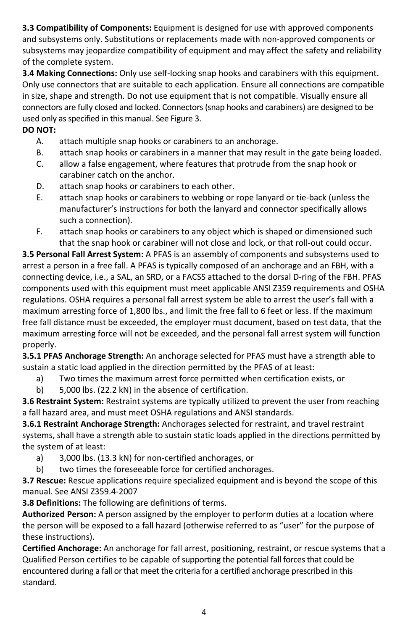**3.3 Compatibility of Components:** Equipment is designed for use with approved components and subsystems only. Substitutions or replacements made with non‐approved components or subsystems may jeopardize compatibility of equipment and may affect the safety and reliability of the complete system.

**3.4 Making Connections:** Only use self‐locking snap hooks and carabiners with this equipment. Only use connectors that are suitable to each application. Ensure all connections are compatible in size, shape and strength. Do not use equipment that is not compatible. Visually ensure all connectors are fully closed and locked. Connectors(snap hooks and carabiners) are designed to be used only as specified in this manual. See Figure 3.

## **DO NOT:**

- A. attach multiple snap hooks or carabiners to an anchorage.
- B. attach snap hooks or carabiners in a manner that may result in the gate being loaded.
- C. allow a false engagement, where features that protrude from the snap hook or carabiner catch on the anchor.
- D. attach snap hooks or carabiners to each other.
- E. attach snap hooks or carabiners to webbing or rope lanyard or tie‐back (unless the manufacturer's instructions for both the lanyard and connector specifically allows such a connection).
- F. attach snap hooks or carabiners to any object which is shaped or dimensioned such that the snap hook or carabiner will not close and lock, or that roll‐out could occur.

**3.5 Personal Fall Arrest System:** A PFAS is an assembly of components and subsystems used to arrest a person in a free fall. A PFAS is typically composed of an anchorage and an FBH, with a connecting device, i.e., a SAL, an SRD, or a FACSS attached to the dorsal D-ring of the FBH. PFAS components used with this equipment must meet applicable ANSI Z359 requirements and OSHA regulations. OSHA requires a personal fall arrest system be able to arrest the user's fall with a maximum arresting force of 1,800 lbs., and limit the free fall to 6 feet or less. If the maximum free fall distance must be exceeded, the employer must document, based on test data, that the maximum arresting force will not be exceeded, and the personal fall arrest system will function properly.

**3.5.1 PFAS Anchorage Strength:** An anchorage selected for PFAS must have a strength able to sustain a static load applied in the direction permitted by the PFAS of at least:

- a) Two times the maximum arrest force permitted when certification exists, or
- b) 5,000 lbs. (22.2 kN) in the absence of certification.

**3.6 Restraint System:** Restraint systems are typically utilized to prevent the user from reaching a fall hazard area, and must meet OSHA regulations and ANSI standards.

**3.6.1 Restraint Anchorage Strength:** Anchorages selected for restraint, and travel restraint systems, shall have a strength able to sustain static loads applied in the directions permitted by the system of at least:

- a) 3,000 lbs. (13.3 kN) for non‐certified anchorages, or
- b) two times the foreseeable force for certified anchorages.

**3.7 Rescue:** Rescue applications require specialized equipment and is beyond the scope of this manual. See ANSI Z359.4‐2007

**3.8 Definitions:** The following are definitions of terms.

**Authorized Person:** A person assigned by the employer to perform duties at a location where the person will be exposed to a fall hazard (otherwise referred to as "user" for the purpose of these instructions).

**Certified Anchorage:** An anchorage for fall arrest, positioning, restraint, or rescue systems that a Qualified Person certifies to be capable of supporting the potential fall forces that could be encountered during a fall or that meet the criteria for a certified anchorage prescribed in this standard.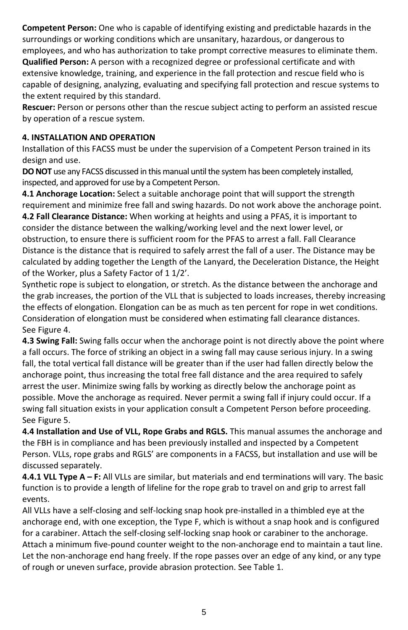**Competent Person:** One who is capable of identifying existing and predictable hazards in the surroundings or working conditions which are unsanitary, hazardous, or dangerous to employees, and who has authorization to take prompt corrective measures to eliminate them. **Qualified Person:** A person with a recognized degree or professional certificate and with extensive knowledge, training, and experience in the fall protection and rescue field who is capable of designing, analyzing, evaluating and specifying fall protection and rescue systems to the extent required by this standard.

**Rescuer:** Person or persons other than the rescue subject acting to perform an assisted rescue by operation of a rescue system.

### **4. INSTALLATION AND OPERATION**

Installation of this FACSS must be under the supervision of a Competent Person trained in its design and use.

**DO NOT** use any FACSS discussed in this manual until the system has been completely installed, inspected, and approved for use by a Competent Person.

**4.1 Anchorage Location:** Select a suitable anchorage point that will support the strength requirement and minimize free fall and swing hazards. Do not work above the anchorage point. **4.2 Fall Clearance Distance:** When working at heights and using a PFAS, it is important to consider the distance between the walking/working level and the next lower level, or obstruction, to ensure there is sufficient room for the PFAS to arrest a fall. Fall Clearance Distance is the distance that is required to safely arrest the fall of a user. The Distance may be calculated by adding together the Length of the Lanyard, the Deceleration Distance, the Height

of the Worker, plus a Safety Factor of 1 1/2'.

Synthetic rope is subject to elongation, or stretch. As the distance between the anchorage and the grab increases, the portion of the VLL that is subjected to loads increases, thereby increasing the effects of elongation. Elongation can be as much as ten percent for rope in wet conditions. Consideration of elongation must be considered when estimating fall clearance distances. See Figure 4.

**4.3 Swing Fall:** Swing falls occur when the anchorage point is not directly above the point where a fall occurs. The force of striking an object in a swing fall may cause serious injury. In a swing fall, the total vertical fall distance will be greater than if the user had fallen directly below the anchorage point, thus increasing the total free fall distance and the area required to safely arrest the user. Minimize swing falls by working as directly below the anchorage point as possible. Move the anchorage as required. Never permit a swing fall if injury could occur. If a swing fall situation exists in your application consult a Competent Person before proceeding. See Figure 5.

**4.4 Installation and Use of VLL, Rope Grabs and RGLS.** This manual assumes the anchorage and the FBH is in compliance and has been previously installed and inspected by a Competent Person. VLLs, rope grabs and RGLS' are components in a FACSS, but installation and use will be discussed separately.

**4.4.1 VLL Type A – F:** All VLLs are similar, but materials and end terminations will vary. The basic function is to provide a length of lifeline for the rope grab to travel on and grip to arrest fall events.

All VLLs have a self‐closing and self‐locking snap hook pre‐installed in a thimbled eye at the anchorage end, with one exception, the Type F, which is without a snap hook and is configured for a carabiner. Attach the self-closing self-locking snap hook or carabiner to the anchorage. Attach a minimum five‐pound counter weight to the non‐anchorage end to maintain a taut line. Let the non-anchorage end hang freely. If the rope passes over an edge of any kind, or any type of rough or uneven surface, provide abrasion protection. See Table 1.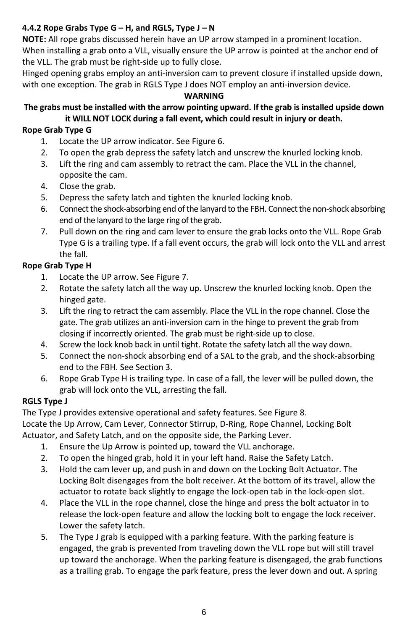## **4.4.2 Rope Grabs Type G – H, and RGLS, Type J – N**

**NOTE:** All rope grabs discussed herein have an UP arrow stamped in a prominent location.

When installing a grab onto a VLL, visually ensure the UP arrow is pointed at the anchor end of the VLL. The grab must be right‐side up to fully close.

Hinged opening grabs employ an anti-inversion cam to prevent closure if installed upside down, with one exception. The grab in RGLS Type J does NOT employ an anti-inversion device.

### **WARNING**

## **The grabs must be installed with the arrow pointing upward. If the grab is installed upside down it WILL NOT LOCK during a fall event, which could result in injury or death.**

## **Rope Grab Type G**

- 1. Locate the UP arrow indicator. See Figure 6.
- 2. To open the grab depress the safety latch and unscrew the knurled locking knob.
- 3. Lift the ring and cam assembly to retract the cam. Place the VLL in the channel, opposite the cam.
- 4. Close the grab.
- 5. Depress the safety latch and tighten the knurled locking knob.
- 6. Connect the shock-absorbing end of the lanyard to the FBH. Connect the non-shock absorbing end of the lanyard to the large ring of the grab.
- 7. Pull down on the ring and cam lever to ensure the grab locks onto the VLL. Rope Grab Type G is a trailing type. If a fall event occurs, the grab will lock onto the VLL and arrest the fall.

## **Rope Grab Type H**

- 1. Locate the UP arrow. See Figure 7.
- 2. Rotate the safety latch all the way up. Unscrew the knurled locking knob. Open the hinged gate.
- 3. Lift the ring to retract the cam assembly. Place the VLL in the rope channel. Close the gate. The grab utilizes an anti‐inversion cam in the hinge to prevent the grab from closing if incorrectly oriented. The grab must be right‐side up to close.
- 4. Screw the lock knob back in until tight. Rotate the safety latch all the way down.
- 5. Connect the non-shock absorbing end of a SAL to the grab, and the shock-absorbing end to the FBH. See Section 3.
- 6. Rope Grab Type H is trailing type. In case of a fall, the lever will be pulled down, the grab will lock onto the VLL, arresting the fall.

## **RGLS Type J**

The Type J provides extensive operational and safety features. See Figure 8.

Locate the Up Arrow, Cam Lever, Connector Stirrup, D-Ring, Rope Channel, Locking Bolt Actuator, and Safety Latch, and on the opposite side, the Parking Lever.

- 1. Ensure the Up Arrow is pointed up, toward the VLL anchorage.
- 2. To open the hinged grab, hold it in your left hand. Raise the Safety Latch.
- 3. Hold the cam lever up, and push in and down on the Locking Bolt Actuator. The Locking Bolt disengages from the bolt receiver. At the bottom of its travel, allow the actuator to rotate back slightly to engage the lock‐open tab in the lock‐open slot.
- 4. Place the VLL in the rope channel, close the hinge and press the bolt actuator in to release the lock‐open feature and allow the locking bolt to engage the lock receiver. Lower the safety latch.
- 5. The Type J grab is equipped with a parking feature. With the parking feature is engaged, the grab is prevented from traveling down the VLL rope but will still travel up toward the anchorage. When the parking feature is disengaged, the grab functions as a trailing grab. To engage the park feature, press the lever down and out. A spring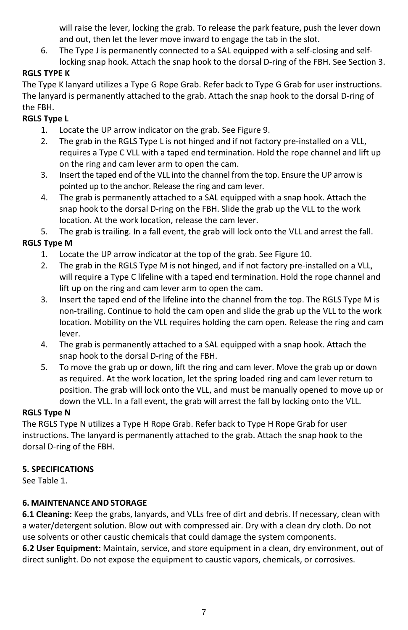will raise the lever, locking the grab. To release the park feature, push the lever down and out, then let the lever move inward to engage the tab in the slot.

6. The Type J is permanently connected to a SAL equipped with a self‐closing and self‐ locking snap hook. Attach the snap hook to the dorsal D-ring of the FBH. See Section 3.

## **RGLS TYPE K**

The Type K lanyard utilizes a Type G Rope Grab. Refer back to Type G Grab for user instructions. The lanyard is permanently attached to the grab. Attach the snap hook to the dorsal D‐ring of the FBH.

## **RGLS Type L**

- 1. Locate the UP arrow indicator on the grab. See Figure 9.
- 2. The grab in the RGLS Type L is not hinged and if not factory pre‐installed on a VLL, requires a Type C VLL with a taped end termination. Hold the rope channel and lift up on the ring and cam lever arm to open the cam.
- 3. Insert the taped end of the VLL into the channel from the top. Ensure the UP arrow is pointed up to the anchor. Release the ring and cam lever.
- 4. The grab is permanently attached to a SAL equipped with a snap hook. Attach the snap hook to the dorsal D-ring on the FBH. Slide the grab up the VLL to the work location. At the work location, release the cam lever.
- 5. The grab is trailing. In a fall event, the grab will lock onto the VLL and arrest the fall.

### **RGLS Type M**

- 1. Locate the UP arrow indicator at the top of the grab. See Figure 10.
- 2. The grab in the RGLS Type M is not hinged, and if not factory pre-installed on a VLL, will require a Type C lifeline with a taped end termination. Hold the rope channel and lift up on the ring and cam lever arm to open the cam.
- 3. Insert the taped end of the lifeline into the channel from the top. The RGLS Type M is non‐trailing. Continue to hold the cam open and slide the grab up the VLL to the work location. Mobility on the VLL requires holding the cam open. Release the ring and cam lever.
- 4. The grab is permanently attached to a SAL equipped with a snap hook. Attach the snap hook to the dorsal D‐ring of the FBH.
- 5. To move the grab up or down, lift the ring and cam lever. Move the grab up or down as required. At the work location, let the spring loaded ring and cam lever return to position. The grab will lock onto the VLL, and must be manually opened to move up or down the VLL. In a fall event, the grab will arrest the fall by locking onto the VLL.

### **RGLS Type N**

The RGLS Type N utilizes a Type H Rope Grab. Refer back to Type H Rope Grab for user instructions. The lanyard is permanently attached to the grab. Attach the snap hook to the dorsal D‐ring of the FBH.

### **5. SPECIFICATIONS**

See Table 1.

### **6. MAINTENANCE AND STORAGE**

**6.1 Cleaning:** Keep the grabs, lanyards, and VLLs free of dirt and debris. If necessary, clean with a water/detergent solution. Blow out with compressed air. Dry with a clean dry cloth. Do not use solvents or other caustic chemicals that could damage the system components.

**6.2 User Equipment:** Maintain, service, and store equipment in a clean, dry environment, out of direct sunlight. Do not expose the equipment to caustic vapors, chemicals, or corrosives.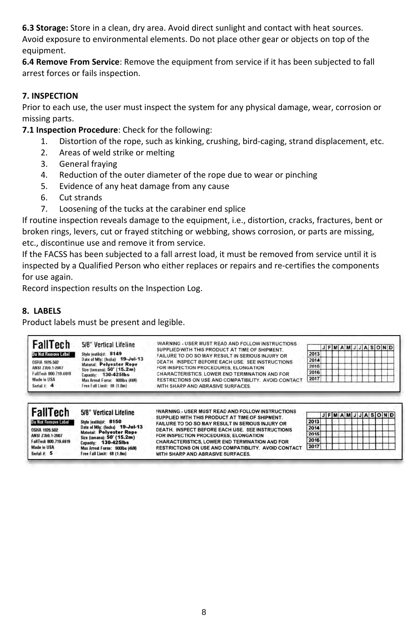**6.3 Storage:** Store in a clean, dry area. Avoid direct sunlight and contact with heat sources. Avoid exposure to environmental elements. Do not place other gear or objects on top of the equipment.

**6.4 Remove From Service**: Remove the equipment from service if it has been subjected to fall arrest forces or fails inspection.

### **7. INSPECTION**

Prior to each use, the user must inspect the system for any physical damage, wear, corrosion or missing parts.

**7.1 Inspection Procedure**: Check for the following:

- 1. Distortion of the rope, such as kinking, crushing, bird‐caging, strand displacement, etc.
- 2. Areas of weld strike or melting
- 3. General fraying
- 4. Reduction of the outer diameter of the rope due to wear or pinching
- 5. Evidence of any heat damage from any cause
- 6. Cut strands
- 7. Loosening of the tucks at the carabiner end splice

If routine inspection reveals damage to the equipment, i.e., distortion, cracks, fractures, bent or broken rings, levers, cut or frayed stitching or webbing, shows corrosion, or parts are missing, etc., discontinue use and remove it from service.

If the FACSS has been subjected to a fall arrest load, it must be removed from service until it is inspected by a Qualified Person who either replaces or repairs and re-certifies the components for use again.

Record inspection results on the Inspection Log.

### **8. LABELS**

Product labels must be present and legible.

| 5/8" Vertical Lifeline<br>Style (estilo)#: 8149<br>Date of Mfg: (fecha) 19-Jul-13<br><b>Material: Polyoster Rope</b><br>Size (tamano): 50' (15.2m)<br>Capacity: 130-425lbs<br>Max Arrest Force: 900lbs (4kN) | <b>IWARNING - USER MUST READ AND FOLLOW INSTRUCTIONS</b><br>SUPPLIED WITH THIS PRODUCT AT TIME OF SHIPMENT.<br>FAILURE TO DO SO MAY RESULT IN SERIOUS INJURY OR<br>DEATH. INSPECT BEFORE EACH USE. SEE INSTRUCTIONS.<br>FOR INSPECTION PROCEDURES. ELONGATION<br>CHARACTERISTICS. LOWER END TERMINATION AND FOR<br>RESTRICTIONS ON USE AND COMPATIBILITY. AVOID CONTACT | 2014<br>2017                      |      |              |  |  |              |
|--------------------------------------------------------------------------------------------------------------------------------------------------------------------------------------------------------------|-------------------------------------------------------------------------------------------------------------------------------------------------------------------------------------------------------------------------------------------------------------------------------------------------------------------------------------------------------------------------|-----------------------------------|------|--------------|--|--|--------------|
|                                                                                                                                                                                                              | Free Fall Limit: 5ft (1.8m)                                                                                                                                                                                                                                                                                                                                             | WITH SHARP AND ABRASIVE SURFACES. | 2013 | 2015<br>2016 |  |  | JFMAMJJASOND |

| <b>FallTech</b>       | 5/8" Vertical Lifeline                      | <b>IWARNING - USER MUST READ AND FOLLOW INSTRUCTIONS</b><br>SUPPLIED WITH THIS PRODUCT AT TIME OF SHIPMENT. |       |  |  | $J$ FMAMJJASOND |  |
|-----------------------|---------------------------------------------|-------------------------------------------------------------------------------------------------------------|-------|--|--|-----------------|--|
| Do Not Remove Label   | Style (estilo)#: 8150                       | FAILURE TO DO SO MAY RESULT IN SERIOUS INJURY OR                                                            | 2013  |  |  |                 |  |
| <b>OSHA 1926, 502</b> | $19 -$ Jul-13<br>Date of Mfg: (fecha)       | DEATH. INSPECT BEFORE EACH USE. SEE INSTRUCTIONS                                                            | 2014  |  |  |                 |  |
| ANSI 7359.1-2007      | <b>Material: Polyester Rope</b>             | FOR INSPECTION PROCEDURES, ELONGATION                                                                       | 2015  |  |  |                 |  |
| FallTech 800,719,4619 | Size (tamano): 50' (15.2m)<br>130-425lbs    | CHARACTERISTICS, LOWER END TERMINATION AND FOR                                                              | 2016  |  |  |                 |  |
| Made in USA           | Capacity:<br>Max Arrest Force: 900lbs (4kN) | RESTRICTIONS ON USE AND COMPATIBILITY. AVOID CONTACT                                                        | 12017 |  |  |                 |  |
| Serial #: 5           | Free Fall Limit: 6ft (1,8m)                 | WITH SHARP AND ABRASIVE SURFACES.                                                                           |       |  |  |                 |  |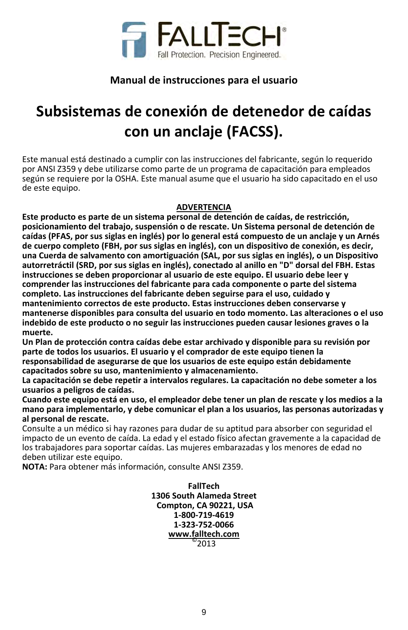

## **Manual de instrucciones para el usuario**

## **Subsistemas de conexión de detenedor de caídas con un anclaje (FACSS).**

Este manual está destinado a cumplir con las instrucciones del fabricante, según lo requerido por ANSI Z359 y debe utilizarse como parte de un programa de capacitación para empleados según se requiere por la OSHA. Este manual asume que el usuario ha sido capacitado en el uso de este equipo.

### **ADVERTENCIA**

**Este producto es parte de un sistema personal de detención de caídas, de restricción, posicionamiento del trabajo, suspensión o de rescate. Un Sistema personal de detención de caídas (PFAS, por sus siglas en inglés) por lo general está compuesto de un anclaje y un Arnés de cuerpo completo (FBH, por sus siglas en inglés), con un dispositivo de conexión, es decir, una Cuerda de salvamento con amortiguación (SAL, por sus siglas en inglés), o un Dispositivo autorretráctil (SRD, por sus siglas en inglés), conectado al anillo en "D" dorsal del FBH. Estas instrucciones se deben proporcionar al usuario de este equipo. El usuario debe leer y comprender las instrucciones del fabricante para cada componente o parte del sistema completo. Las instrucciones del fabricante deben seguirse para el uso, cuidado y mantenimiento correctos de este producto. Estas instrucciones deben conservarse y mantenerse disponibles para consulta del usuario en todo momento. Las alteraciones o el uso indebido de este producto o no seguir las instrucciones pueden causar lesiones graves o la muerte.**

**Un Plan de protección contra caídas debe estar archivado y disponible para su revisión por parte de todos los usuarios. El usuario y el comprador de este equipo tienen la responsabilidad de asegurarse de que los usuarios de este equipo están debidamente capacitados sobre su uso, mantenimiento y almacenamiento.**

**La capacitación se debe repetir a intervalos regulares. La capacitación no debe someter a los usuarios a peligros de caídas.**

Cuando este equipo está en uso, el empleador debe tener un plan de rescate y los medios a la **mano para implementarlo, y debe comunicar el plan a los usuarios, las personas autorizadas y al personal de rescate.**

Consulte a un médico si hay razones para dudar de su aptitud para absorber con seguridad el impacto de un evento de caída. La edad y el estado físico afectan gravemente a la capacidad de los trabajadores para soportar caídas. Las mujeres embarazadas y los menores de edad no deben utilizar este equipo.

**NOTA:** Para obtener más información, consulte ANSI Z359.

**FallTech 1306 South Alameda Street Compton, CA 90221, USA 1‐800‐719‐4619 1‐323‐752‐0066 www.falltech.com**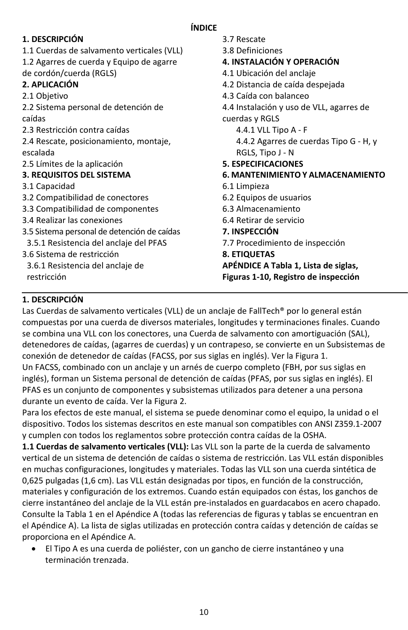## **1. DESCRIPCIÓN**

1.1 Cuerdas de salvamento verticales (VLL) 1.2 Agarres de cuerda y Equipo de agarre de cordón/cuerda (RGLS)

## **2. APLICACIÓN**

2.1 Objetivo

2.2 Sistema personal de detención de caídas

2.3 Restricción contra caídas

2.4 Rescate, posicionamiento, montaje, escalada

2.5 Límites de la aplicación

### **3. REQUISITOS DEL SISTEMA**

- 3.1 Capacidad
- 3.2 Compatibilidad de conectores
- 3.3 Compatibilidad de componentes
- 3.4 Realizar las conexiones
- 3.5 Sistema personal de detención de caídas
- 3.5.1 Resistencia del anclaje del PFAS
- 3.6 Sistema de restricción
- 3.6.1 Resistencia del anclaje de restricción
- 3.7 Rescate
- 3.8 Definiciones
- **4. INSTALACIÓN Y OPERACIÓN**
- 4.1 Ubicación del anclaje
- 4.2 Distancia de caída despejada
- 4.3 Caída con balanceo
- 4.4 Instalación y uso de VLL, agarres de cuerdas y RGLS
	- 4.4.1 VLL Tipo A ‐ F
	- 4.4.2 Agarres de cuerdas Tipo G ‐ H, y RGLS, Tipo J ‐ N
- **5. ESPECIFICACIONES**
- **6. MANTENIMIENTO Y ALMACENAMIENTO**
- 6.1 Limpieza
- 6.2 Equipos de usuarios
- 6.3 Almacenamiento
- 6.4 Retirar de servicio
- **7. INSPECCIÓN**
- 7.7 Procedimiento de inspección
- **8. ETIQUETAS**

**APÉNDICE A Tabla 1, Lista de siglas, Figuras 1‐10, Registro de inspección**

## **1. DESCRIPCIÓN**

Las Cuerdas de salvamento verticales (VLL) de un anclaje de FallTech® por lo general están compuestas por una cuerda de diversos materiales, longitudes y terminaciones finales. Cuando se combina una VLL con los conectores, una Cuerda de salvamento con amortiguación (SAL), detenedores de caídas, (agarres de cuerdas) y un contrapeso, se convierte en un Subsistemas de conexión de detenedor de caídas (FACSS, por sus siglas en inglés). Ver la Figura 1. Un FACSS, combinado con un anclaje y un arnés de cuerpo completo (FBH, por sus siglas en inglés), forman un Sistema personal de detención de caídas (PFAS, por sus siglas en inglés). El PFAS es un conjunto de componentes y subsistemas utilizados para detener a una persona durante un evento de caída. Ver la Figura 2.

Para los efectos de este manual, el sistema se puede denominar como el equipo, la unidad o el dispositivo. Todos los sistemas descritos en este manual son compatibles con ANSI Z359.1‐2007 y cumplen con todos los reglamentos sobre protección contra caídas de la OSHA.

**1.1 Cuerdas de salvamento verticales (VLL):** Las VLL son la parte de la cuerda de salvamento vertical de un sistema de detención de caídas o sistema de restricción. Las VLL están disponibles en muchas configuraciones, longitudes y materiales. Todas las VLL son una cuerda sintética de 0,625 pulgadas (1,6 cm). Las VLL están designadas por tipos, en función de la construcción, materiales y configuración de los extremos. Cuando están equipados con éstas, los ganchos de cierre instantáneo del anclaje de la VLL están pre‐instalados en guardacabos en acero chapado. Consulte la Tabla 1 en el Apéndice A (todas las referencias de figuras y tablas se encuentran en el Apéndice A). La lista de siglas utilizadas en protección contra caídas y detención de caídas se proporciona en el Apéndice A.

 El Tipo A es una cuerda de poliéster, con un gancho de cierre instantáneo y una terminación trenzada.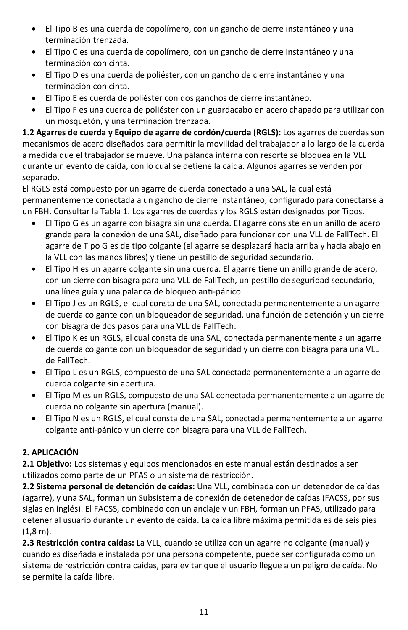- El Tipo B es una cuerda de copolímero, con un gancho de cierre instantáneo y una terminación trenzada.
- El Tipo C es una cuerda de copolímero, con un gancho de cierre instantáneo y una terminación con cinta.
- El Tipo D es una cuerda de poliéster, con un gancho de cierre instantáneo y una terminación con cinta.
- El Tipo E es cuerda de poliéster con dos ganchos de cierre instantáneo.
- El Tipo F es una cuerda de poliéster con un guardacabo en acero chapado para utilizar con un mosquetón, y una terminación trenzada.

**1.2 Agarres de cuerda y Equipo de agarre de cordón/cuerda (RGLS):** Los agarres de cuerdas son mecanismos de acero diseñados para permitir la movilidad del trabajador a lo largo de la cuerda a medida que el trabajador se mueve. Una palanca interna con resorte se bloquea en la VLL durante un evento de caída, con lo cual se detiene la caída. Algunos agarres se venden por separado.

El RGLS está compuesto por un agarre de cuerda conectado a una SAL, la cual está permanentemente conectada a un gancho de cierre instantáneo, configurado para conectarse a un FBH. Consultar la Tabla 1. Los agarres de cuerdas y los RGLS están designados por Tipos.

- El Tipo G es un agarre con bisagra sin una cuerda. El agarre consiste en un anillo de acero grande para la conexión de una SAL, diseñado para funcionar con una VLL de FallTech. El agarre de Tipo G es de tipo colgante (el agarre se desplazará hacia arriba y hacia abajo en la VLL con las manos libres) y tiene un pestillo de seguridad secundario.
- El Tipo H es un agarre colgante sin una cuerda. El agarre tiene un anillo grande de acero, con un cierre con bisagra para una VLL de FallTech, un pestillo de seguridad secundario, una línea guía y una palanca de bloqueo anti‐pánico.
- El Tipo J es un RGLS, el cual consta de una SAL, conectada permanentemente a un agarre de cuerda colgante con un bloqueador de seguridad, una función de detención y un cierre con bisagra de dos pasos para una VLL de FallTech.
- El Tipo K es un RGLS, el cual consta de una SAL, conectada permanentemente a un agarre de cuerda colgante con un bloqueador de seguridad y un cierre con bisagra para una VLL de FallTech.
- El Tipo L es un RGLS, compuesto de una SAL conectada permanentemente a un agarre de cuerda colgante sin apertura.
- El Tipo M es un RGLS, compuesto de una SAL conectada permanentemente a un agarre de cuerda no colgante sin apertura (manual).
- El Tipo N es un RGLS, el cual consta de una SAL, conectada permanentemente a un agarre colgante anti‐pánico y un cierre con bisagra para una VLL de FallTech.

## **2. APLICACIÓN**

**2.1 Objetivo:** Los sistemas y equipos mencionados en este manual están destinados a ser utilizados como parte de un PFAS o un sistema de restricción.

**2.2 Sistema personal de detención de caídas:** Una VLL, combinada con un detenedor de caídas (agarre), y una SAL, forman un Subsistema de conexión de detenedor de caídas (FACSS, por sus siglas en inglés). El FACSS, combinado con un anclaje y un FBH, forman un PFAS, utilizado para detener al usuario durante un evento de caída. La caída libre máxima permitida es de seis pies  $(1.8 \text{ m})$ .

**2.3 Restricción contra caídas:** La VLL, cuando se utiliza con un agarre no colgante (manual) y cuando es diseñada e instalada por una persona competente, puede ser configurada como un sistema de restricción contra caídas, para evitar que el usuario llegue a un peligro de caída. No se permite la caída libre.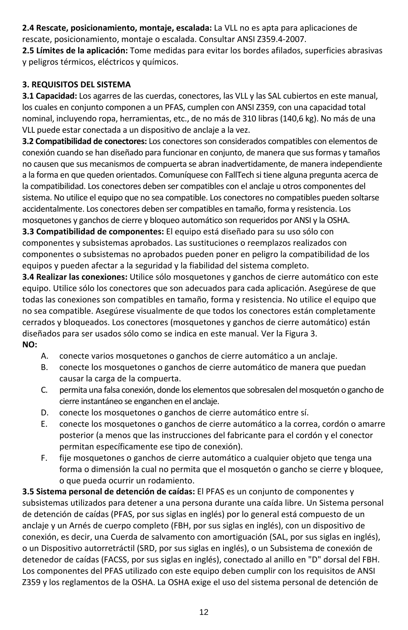**2.4 Rescate, posicionamiento, montaje, escalada:** La VLL no es apta para aplicaciones de rescate, posicionamiento, montaje o escalada. Consultar ANSI Z359.4‐2007.

**2.5 Límites de la aplicación:** Tome medidas para evitar los bordes afilados, superficies abrasivas y peligros térmicos, eléctricos y químicos.

### **3. REQUISITOS DEL SISTEMA**

**3.1 Capacidad:** Los agarres de las cuerdas, conectores, las VLL y las SAL cubiertos en este manual, los cuales en conjunto componen a un PFAS, cumplen con ANSI Z359, con una capacidad total nominal, incluyendo ropa, herramientas, etc., de no más de 310 libras (140,6 kg). No más de una VLL puede estar conectada a un dispositivo de anclaje a la vez.

**3.2 Compatibilidad de conectores:** Los conectoresson considerados compatibles con elementos de conexión cuando se han diseñado para funcionar en conjunto, de manera que susformas y tamaños no causen que sus mecanismos de compuerta se abran inadvertidamente, de manera independiente a la forma en que queden orientados. Comuníquese con FallTech si tiene alguna pregunta acerca de la compatibilidad. Los conectores deben ser compatibles con el anclaje u otros componentes del sistema. No utilice el equipo que no sea compatible. Los conectores no compatibles pueden soltarse accidentalmente. Los conectores deben ser compatibles en tamaño, forma y resistencia. Los mosquetones y ganchos de cierre y bloqueo automático son requeridos por ANSI y la OSHA.

**3.3 Compatibilidad de componentes:** El equipo está diseñado para su uso sólo con componentes y subsistemas aprobados. Las sustituciones o reemplazos realizados con componentes o subsistemas no aprobados pueden poner en peligro la compatibilidad de los equipos y pueden afectar a la seguridad y la fiabilidad del sistema completo.

**3.4 Realizar las conexiones:** Utilice sólo mosquetones y ganchos de cierre automático con este equipo. Utilice sólo los conectores que son adecuados para cada aplicación. Asegúrese de que todas las conexiones son compatibles en tamaño, forma y resistencia. No utilice el equipo que no sea compatible. Asegúrese visualmente de que todos los conectores están completamente cerrados y bloqueados. Los conectores (mosquetones y ganchos de cierre automático) están diseñados para ser usados sólo como se indica en este manual. Ver la Figura 3. **NO:**

- A. conecte varios mosquetones o ganchos de cierre automático a un anclaje.
- B. conecte los mosquetones o ganchos de cierre automático de manera que puedan causar la carga de la compuerta.
- C. permita una falsa conexión, donde los elementos que sobresalen del mosquetón o gancho de cierre instantáneo se enganchen en el anclaje.
- D. conecte los mosquetones o ganchos de cierre automático entre sí.
- E. conecte los mosquetones o ganchos de cierre automático a la correa, cordón o amarre posterior (a menos que las instrucciones del fabricante para el cordón y el conector permitan específicamente ese tipo de conexión).
- F. fije mosquetones o ganchos de cierre automático a cualquier objeto que tenga una forma o dimensión la cual no permita que el mosquetón o gancho se cierre y bloquee, o que pueda ocurrir un rodamiento.

**3.5 Sistema personal de detención de caídas:** El PFAS es un conjunto de componentes y subsistemas utilizados para detener a una persona durante una caída libre. Un Sistema personal de detención de caídas (PFAS, por sus siglas en inglés) por lo general está compuesto de un anclaje y un Arnés de cuerpo completo (FBH, por sus siglas en inglés), con un dispositivo de conexión, es decir, una Cuerda de salvamento con amortiguación (SAL, por sus siglas en inglés), o un Dispositivo autorretráctil (SRD, por sus siglas en inglés), o un Subsistema de conexión de detenedor de caídas (FACSS, por sus siglas en inglés), conectado al anillo en "D" dorsal del FBH. Los componentes del PFAS utilizado con este equipo deben cumplir con los requisitos de ANSI Z359 y los reglamentos de la OSHA. La OSHA exige el uso del sistema personal de detención de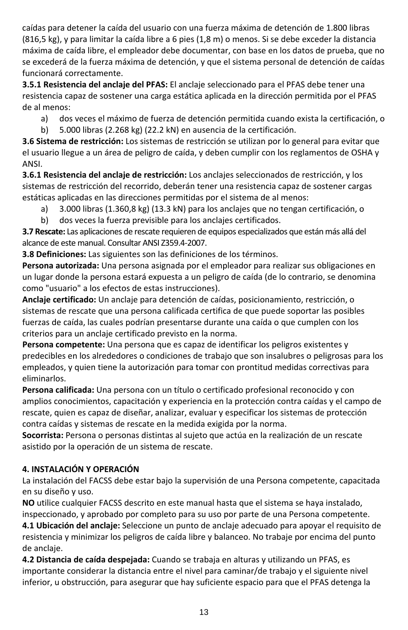caídas para detener la caída del usuario con una fuerza máxima de detención de 1.800 libras (816,5 kg), y para limitar la caída libre a 6 pies (1,8 m) o menos. Si se debe exceder la distancia máxima de caída libre, el empleador debe documentar, con base en los datos de prueba, que no se excederá de la fuerza máxima de detención, y que el sistema personal de detención de caídas funcionará correctamente.

**3.5.1 Resistencia del anclaje del PFAS:** El anclaje seleccionado para el PFAS debe tener una resistencia capaz de sostener una carga estática aplicada en la dirección permitida por el PFAS de al menos:

- a) dos veces el máximo de fuerza de detención permitida cuando exista la certificación, o
- b) 5.000 libras (2.268 kg) (22.2 kN) en ausencia de la certificación.

**3.6 Sistema de restricción:** Los sistemas de restricción se utilizan por lo general para evitar que el usuario llegue a un área de peligro de caída, y deben cumplir con los reglamentos de OSHA y ANSI.

**3.6.1 Resistencia del anclaje de restricción:** Los anclajes seleccionados de restricción, y los sistemas de restricción del recorrido, deberán tener una resistencia capaz de sostener cargas estáticas aplicadas en las direcciones permitidas por el sistema de al menos:

- a) 3.000 libras (1.360,8 kg) (13.3 kN) para los anclajes que no tengan certificación, o
- b) dos veces la fuerza previsible para los anclajes certificados.

**3.7 Rescate:** Las aplicaciones de rescate requieren de equipos especializados que estánmás allá del alcance de este manual. Consultar ANSI Z359.4‐2007.

**3.8 Definiciones:** Las siguientes son las definiciones de los términos.

**Persona autorizada:** Una persona asignada por el empleador para realizar sus obligaciones en un lugar donde la persona estará expuesta a un peligro de caída (de lo contrario, se denomina como "usuario" a los efectos de estas instrucciones).

**Anclaje certificado:** Un anclaje para detención de caídas, posicionamiento, restricción, o sistemas de rescate que una persona calificada certifica de que puede soportar las posibles fuerzas de caída, las cuales podrían presentarse durante una caída o que cumplen con los criterios para un anclaje certificado previsto en la norma.

**Persona competente:** Una persona que es capaz de identificar los peligros existentes y predecibles en los alrededores o condiciones de trabajo que son insalubres o peligrosas para los empleados, y quien tiene la autorización para tomar con prontitud medidas correctivas para eliminarlos.

**Persona calificada:** Una persona con un título o certificado profesional reconocido y con amplios conocimientos, capacitación y experiencia en la protección contra caídas y el campo de rescate, quien es capaz de diseñar, analizar, evaluar y especificar los sistemas de protección contra caídas y sistemas de rescate en la medida exigida por la norma.

**Socorrista:** Persona o personas distintas al sujeto que actúa en la realización de un rescate asistido por la operación de un sistema de rescate.

## **4. INSTALACIÓN Y OPERACIÓN**

La instalación del FACSS debe estar bajo la supervisión de una Persona competente, capacitada en su diseño y uso.

**NO** utilice cualquier FACSS descrito en este manual hasta que el sistema se haya instalado, inspeccionado, y aprobado por completo para su uso por parte de una Persona competente.

**4.1 Ubicación del anclaje:** Seleccione un punto de anclaje adecuado para apoyar el requisito de resistencia y minimizar los peligros de caída libre y balanceo. No trabaje por encima del punto de anclaje.

**4.2 Distancia de caída despejada:** Cuando se trabaja en alturas y utilizando un PFAS, es importante considerar la distancia entre el nivel para caminar/de trabajo y el siguiente nivel inferior, u obstrucción, para asegurar que hay suficiente espacio para que el PFAS detenga la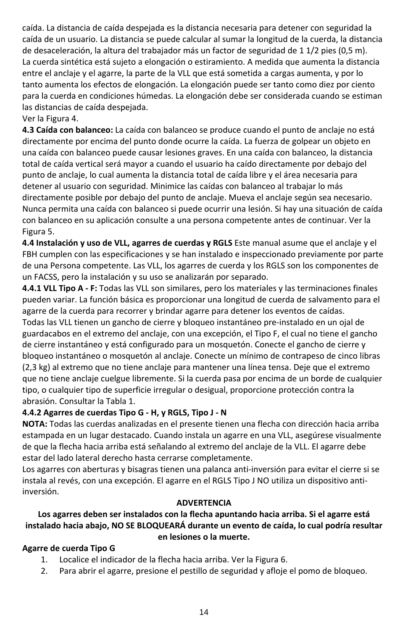caída. La distancia de caída despejada es la distancia necesaria para detener con seguridad la caída de un usuario. La distancia se puede calcular al sumar la longitud de la cuerda, la distancia de desaceleración, la altura del trabajador más un factor de seguridad de 1 1/2 pies (0,5 m). La cuerda sintética está sujeto a elongación o estiramiento. A medida que aumenta la distancia entre el anclaje y el agarre, la parte de la VLL que está sometida a cargas aumenta, y por lo tanto aumenta los efectos de elongación. La elongación puede ser tanto como diez por ciento para la cuerda en condiciones húmedas. La elongación debe ser considerada cuando se estiman las distancias de caída despejada.

Ver la Figura 4.

**4.3 Caída con balanceo:** La caída con balanceo se produce cuando el punto de anclaje no está directamente por encima del punto donde ocurre la caída. La fuerza de golpear un objeto en una caída con balanceo puede causar lesiones graves. En una caída con balanceo, la distancia total de caída vertical será mayor a cuando el usuario ha caído directamente por debajo del punto de anclaje, lo cual aumenta la distancia total de caída libre y el área necesaria para detener al usuario con seguridad. Minimice las caídas con balanceo al trabajar lo más directamente posible por debajo del punto de anclaje. Mueva el anclaje según sea necesario. Nunca permita una caída con balanceo si puede ocurrir una lesión. Si hay una situación de caída con balanceo en su aplicación consulte a una persona competente antes de continuar. Ver la Figura 5.

**4.4 Instalación y uso de VLL, agarres de cuerdas y RGLS** Este manual asume que el anclaje y el FBH cumplen con las especificaciones y se han instalado e inspeccionado previamente por parte de una Persona competente. Las VLL, los agarres de cuerda y los RGLS son los componentes de un FACSS, pero la instalación y su uso se analizarán por separado.

**4.4.1 VLL Tipo A ‐ F:** Todas las VLL son similares, pero los materiales y las terminaciones finales pueden variar. La función básica es proporcionar una longitud de cuerda de salvamento para el agarre de la cuerda para recorrer y brindar agarre para detener los eventos de caídas.

Todas las VLL tienen un gancho de cierre y bloqueo instantáneo pre‐instalado en un ojal de guardacabos en el extremo del anclaje, con una excepción, el Tipo F, el cual no tiene el gancho de cierre instantáneo y está configurado para un mosquetón. Conecte el gancho de cierre y bloqueo instantáneo o mosquetón al anclaje. Conecte un mínimo de contrapeso de cinco libras (2,3 kg) al extremo que no tiene anclaje para mantener una línea tensa. Deje que el extremo que no tiene anclaje cuelgue libremente. Si la cuerda pasa por encima de un borde de cualquier tipo, o cualquier tipo de superficie irregular o desigual, proporcione protección contra la abrasión. Consultar la Tabla 1.

### **4.4.2 Agarres de cuerdas Tipo G ‐ H, y RGLS, Tipo J ‐ N**

**NOTA:** Todas las cuerdas analizadas en el presente tienen una flecha con dirección hacia arriba estampada en un lugar destacado. Cuando instala un agarre en una VLL, asegúrese visualmente de que la flecha hacia arriba está señalando al extremo del anclaje de la VLL. El agarre debe estar del lado lateral derecho hasta cerrarse completamente.

Los agarres con aberturas y bisagras tienen una palanca anti‐inversión para evitar el cierre si se instala al revés, con una excepción. El agarre en el RGLS Tipo J NO utiliza un dispositivo anti‐ inversión.

### **ADVERTENCIA**

#### **Los agarres deben ser instalados con la flecha apuntando hacia arriba. Si el agarre está instalado hacia abajo, NO SE BLOQUEARÁ durante un evento de caída, lo cual podría resultar en lesiones o la muerte.**

### **Agarre de cuerda Tipo G**

- 1. Localice el indicador de la flecha hacia arriba. Ver la Figura 6.
- 2. Para abrir el agarre, presione el pestillo de seguridad y afloje el pomo de bloqueo.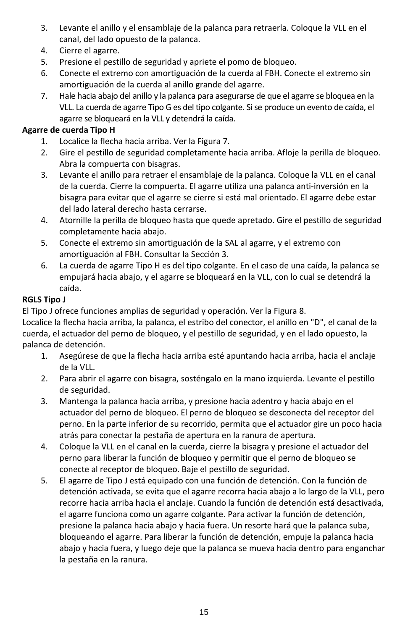- 3. Levante el anillo y el ensamblaje de la palanca para retraerla. Coloque la VLL en el canal, del lado opuesto de la palanca.
- 4. Cierre el agarre.
- 5. Presione el pestillo de seguridad y apriete el pomo de bloqueo.
- 6. Conecte el extremo con amortiguación de la cuerda al FBH. Conecte el extremo sin amortiguación de la cuerda al anillo grande del agarre.
- 7. Hale hacia abajo del anillo y la palanca para asegurarse de que el agarre se bloquea en la VLL. La cuerda de agarre Tipo G es del tipo colgante. Sise produce un evento de caída, el agarre se bloqueará en la VLL y detendrá la caída.

## **Agarre de cuerda Tipo H**

- 1. Localice la flecha hacia arriba. Ver la Figura 7.
- 2. Gire el pestillo de seguridad completamente hacia arriba. Afloje la perilla de bloqueo. Abra la compuerta con bisagras.
- 3. Levante el anillo para retraer el ensamblaje de la palanca. Coloque la VLL en el canal de la cuerda. Cierre la compuerta. El agarre utiliza una palanca anti‐inversión en la bisagra para evitar que el agarre se cierre si está mal orientado. El agarre debe estar del lado lateral derecho hasta cerrarse.
- 4. Atornille la perilla de bloqueo hasta que quede apretado. Gire el pestillo de seguridad completamente hacia abajo.
- 5. Conecte el extremo sin amortiguación de la SAL al agarre, y el extremo con amortiguación al FBH. Consultar la Sección 3.
- 6. La cuerda de agarre Tipo H es del tipo colgante. En el caso de una caída, la palanca se empujará hacia abajo, y el agarre se bloqueará en la VLL, con lo cual se detendrá la caída.

## **RGLS Tipo J**

El Tipo J ofrece funciones amplias de seguridad y operación. Ver la Figura 8.

Localice la flecha hacia arriba, la palanca, el estribo del conector, el anillo en "D", el canal de la cuerda, el actuador del perno de bloqueo, y el pestillo de seguridad, y en el lado opuesto, la palanca de detención.

- 1. Asegúrese de que la flecha hacia arriba esté apuntando hacia arriba, hacia el anclaje de la VLL.
- 2. Para abrir el agarre con bisagra, sosténgalo en la mano izquierda. Levante el pestillo de seguridad.
- 3. Mantenga la palanca hacia arriba, y presione hacia adentro y hacia abajo en el actuador del perno de bloqueo. El perno de bloqueo se desconecta del receptor del perno. En la parte inferior de su recorrido, permita que el actuador gire un poco hacia atrás para conectar la pestaña de apertura en la ranura de apertura.
- 4. Coloque la VLL en el canal en la cuerda, cierre la bisagra y presione el actuador del perno para liberar la función de bloqueo y permitir que el perno de bloqueo se conecte al receptor de bloqueo. Baje el pestillo de seguridad.
- 5. El agarre de Tipo J está equipado con una función de detención. Con la función de detención activada, se evita que el agarre recorra hacia abajo a lo largo de la VLL, pero recorre hacia arriba hacia el anclaje. Cuando la función de detención está desactivada, el agarre funciona como un agarre colgante. Para activar la función de detención, presione la palanca hacia abajo y hacia fuera. Un resorte hará que la palanca suba, bloqueando el agarre. Para liberar la función de detención, empuje la palanca hacia abajo y hacia fuera, y luego deje que la palanca se mueva hacia dentro para enganchar la pestaña en la ranura.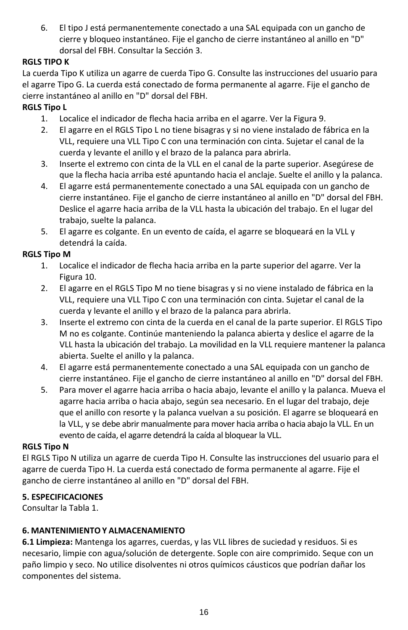6. El tipo J está permanentemente conectado a una SAL equipada con un gancho de cierre y bloqueo instantáneo. Fije el gancho de cierre instantáneo al anillo en "D" dorsal del FBH. Consultar la Sección 3.

## **RGLS TIPO K**

La cuerda Tipo K utiliza un agarre de cuerda Tipo G. Consulte las instrucciones del usuario para el agarre Tipo G. La cuerda está conectado de forma permanente al agarre. Fije el gancho de cierre instantáneo al anillo en "D" dorsal del FBH.

### **RGLS Tipo L**

- 1. Localice el indicador de flecha hacia arriba en el agarre. Ver la Figura 9.
- 2. El agarre en el RGLS Tipo L no tiene bisagras y si no viene instalado de fábrica en la VLL, requiere una VLL Tipo C con una terminación con cinta. Sujetar el canal de la cuerda y levante el anillo y el brazo de la palanca para abrirla.
- 3. Inserte el extremo con cinta de la VLL en el canal de la parte superior. Asegúrese de que la flecha hacia arriba esté apuntando hacia el anclaje. Suelte el anillo y la palanca.
- 4. El agarre está permanentemente conectado a una SAL equipada con un gancho de cierre instantáneo. Fije el gancho de cierre instantáneo al anillo en "D" dorsal del FBH. Deslice el agarre hacia arriba de la VLL hasta la ubicación del trabajo. En el lugar del trabajo, suelte la palanca.
- 5. El agarre es colgante. En un evento de caída, el agarre se bloqueará en la VLL y detendrá la caída.

### **RGLS Tipo M**

- 1. Localice el indicador de flecha hacia arriba en la parte superior del agarre. Ver la Figura 10.
- 2. El agarre en el RGLS Tipo M no tiene bisagras y si no viene instalado de fábrica en la VLL, requiere una VLL Tipo C con una terminación con cinta. Sujetar el canal de la cuerda y levante el anillo y el brazo de la palanca para abrirla.
- 3. Inserte el extremo con cinta de la cuerda en el canal de la parte superior. El RGLS Tipo M no es colgante. Continúe manteniendo la palanca abierta y deslice el agarre de la VLL hasta la ubicación del trabajo. La movilidad en la VLL requiere mantener la palanca abierta. Suelte el anillo y la palanca.
- 4. El agarre está permanentemente conectado a una SAL equipada con un gancho de cierre instantáneo. Fije el gancho de cierre instantáneo al anillo en "D" dorsal del FBH.
- 5. Para mover el agarre hacia arriba o hacia abajo, levante el anillo y la palanca. Mueva el agarre hacia arriba o hacia abajo, según sea necesario. En el lugar del trabajo, deje que el anillo con resorte y la palanca vuelvan a su posición. El agarre se bloqueará en la VLL, y se debe abrir manualmente para mover hacia arriba o hacia abajo la VLL. En un evento de caída, el agarre detendrá la caída al bloquear la VLL.

### **RGLS Tipo N**

El RGLS Tipo N utiliza un agarre de cuerda Tipo H. Consulte las instrucciones del usuario para el agarre de cuerda Tipo H. La cuerda está conectado de forma permanente al agarre. Fije el gancho de cierre instantáneo al anillo en "D" dorsal del FBH.

### **5. ESPECIFICACIONES**

Consultar la Tabla 1.

### **6. MANTENIMIENTOY ALMACENAMIENTO**

**6.1 Limpieza:** Mantenga los agarres, cuerdas, y las VLL libres de suciedad y residuos. Si es necesario, limpie con agua/solución de detergente. Sople con aire comprimido. Seque con un paño limpio y seco. No utilice disolventes ni otros químicos cáusticos que podrían dañar los componentes del sistema.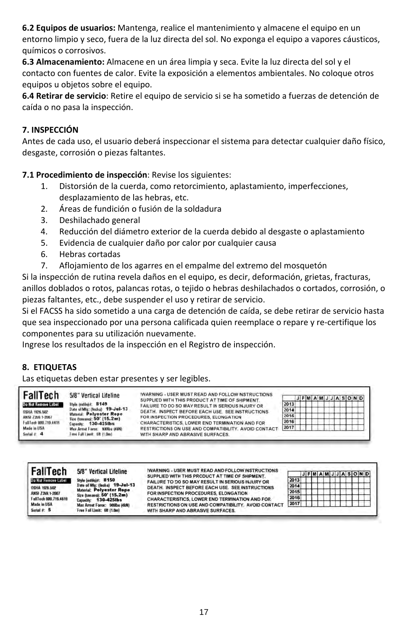**6.2 Equipos de usuarios:** Mantenga, realice el mantenimiento y almacene el equipo en un entorno limpio y seco, fuera de la luz directa del sol. No exponga el equipo a vapores cáusticos, químicos o corrosivos.

**6.3 Almacenamiento:** Almacene en un área limpia y seca. Evite la luz directa del sol y el contacto con fuentes de calor. Evite la exposición a elementos ambientales. No coloque otros equipos u objetos sobre el equipo.

**6.4 Retirar de servicio**: Retire el equipo de servicio si se ha sometido a fuerzas de detención de caída o no pasa la inspección.

### **7. INSPECCIÓN**

Antes de cada uso, el usuario deberá inspeccionar el sistema para detectar cualquier daño físico, desgaste, corrosión o piezas faltantes.

### **7.1 Procedimiento de inspección**: Revise los siguientes:

- 1. Distorsión de la cuerda, como retorcimiento, aplastamiento, imperfecciones, desplazamiento de las hebras, etc.
- 2. Áreas de fundición o fusión de la soldadura
- 3. Deshilachado general
- 4. Reducción del diámetro exterior de la cuerda debido al desgaste o aplastamiento
- 5. Evidencia de cualquier daño por calor por cualquier causa
- 6. Hebras cortadas
- 7. Aflojamiento de los agarres en el empalme del extremo del mosquetón

Si la inspección de rutina revela daños en el equipo, es decir, deformación, grietas, fracturas, anillos doblados o rotos, palancas rotas, o tejido o hebras deshilachados o cortados, corrosión, o piezas faltantes, etc., debe suspender el uso y retirar de servicio.

Si el FACSS ha sido sometido a una carga de detención de caída, se debe retirar de servicio hasta que sea inspeccionado por una persona calificada quien reemplace o repare y re‐certifique los componentes para su utilización nuevamente.

Ingrese los resultados de la inspección en el Registro de inspección.

### **8. ETIQUETAS**

Las etiquetas deben estar presentes y ser legibles.

| FallTech<br>Do Not Remove Label<br><b>OSHA 1926-502</b><br>ANSI 7359.1-2007<br>FallTech 800.719.4619<br>Made la USA<br>Serial # 4 | 5/8" Vertical Lifeline<br>Style Institute: B149<br>Date of Mfg: (fecha) 19-Jul-13<br><b>Material: Polyoster Rope</b><br>Size (tamang): 50' (15.2m)<br>$CapzotE$ 130-425lbs<br>Max Arrest Force: 900Brs (4kN)<br>rec Fall Limit: 5R (1.8m) | WARNING - USER MUST READ AND FOLLOW INSTRUCTIONS<br>SUPPLIED WITH THIS PRODUCT AT TIME OF SHIPMENT.<br>FAILURE TO DO SO MAY RESULT IN SERIOUS INJURY OR<br>DEATH, INSPECT BEFORE EACH USE. SEE INSTRUCTIONS.<br>FOR INSPECTION PROCEDURES, ELONGATION<br>CHARACTERISTICS, LOWER END TERMINATION AND FOR<br>RESTRICTIONS ON USE AND COMPATIBILITY. AVOID CONTACT<br>WITH SHARP AND ABRASIVE SURFACES. | 2013<br>2014<br>2015<br>2016<br>2017 |  |  |  |  |  |  |  | JFMAMJJASOND |
|-----------------------------------------------------------------------------------------------------------------------------------|-------------------------------------------------------------------------------------------------------------------------------------------------------------------------------------------------------------------------------------------|------------------------------------------------------------------------------------------------------------------------------------------------------------------------------------------------------------------------------------------------------------------------------------------------------------------------------------------------------------------------------------------------------|--------------------------------------|--|--|--|--|--|--|--|--------------|
|-----------------------------------------------------------------------------------------------------------------------------------|-------------------------------------------------------------------------------------------------------------------------------------------------------------------------------------------------------------------------------------------|------------------------------------------------------------------------------------------------------------------------------------------------------------------------------------------------------------------------------------------------------------------------------------------------------------------------------------------------------------------------------------------------------|--------------------------------------|--|--|--|--|--|--|--|--------------|

| <b>FallTech</b>       | 5/8" Vertical Lifeline                             | <b>IWARNING - USER MUST READ AND FOLLOW INSTRUCTIONS</b><br>SUPPLIED WITH THIS PRODUCT AT TIME OF SHIPMENT. |      | $J$ FMAMJJASOND |  |  |
|-----------------------|----------------------------------------------------|-------------------------------------------------------------------------------------------------------------|------|-----------------|--|--|
| Do Not Remove Label   | Style (estilo)#: 8150                              | FAILURE TO DO SO MAY RESULT IN SERIOUS INJURY OR                                                            | 2013 |                 |  |  |
| <b>OSHA 1926 502</b>  | Date of Mig: (lecha) 19-Jul-13                     | DEATH. INSPECT BEFORE EACH USE. SEE INSTRUCTIONS                                                            | 2014 |                 |  |  |
| ANSI 2359.1-2007      | Material: Polyester Rope                           | FOR INSPECTION PROCEDURES. ELONGATION                                                                       | 2015 |                 |  |  |
| FallTech 800.719.4619 | Size (tamano): 50' (15.2m)<br>Capacity: 130-425lbs | CHARACTERISTICS, LOWER END TERMINATION AND FOR-                                                             | 2016 |                 |  |  |
| Made in USA           | Max Arrest Force: 900lbs (4kN)                     | RESTRICTIONS ON USE AND COMPATIBILITY. AVOID CONTACT                                                        | 2017 |                 |  |  |
| Serial P: 5           | Free Fall Limit: 68 (1.8m)                         | WITH SHARP AND ABRASIVE SURFACES.                                                                           |      |                 |  |  |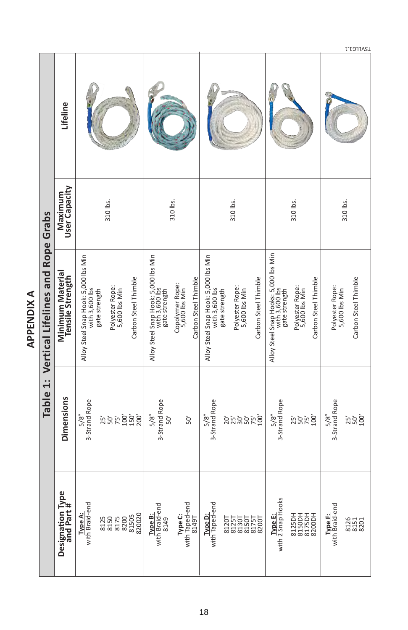|                                            |                                        |                                                                         |                                    |                      |                                                                         |                                                          |                                                                         |                                                    |                      |                                                                          |                                                          |                                  | L'IDINSI             |
|--------------------------------------------|----------------------------------------|-------------------------------------------------------------------------|------------------------------------|----------------------|-------------------------------------------------------------------------|----------------------------------------------------------|-------------------------------------------------------------------------|----------------------------------------------------|----------------------|--------------------------------------------------------------------------|----------------------------------------------------------|----------------------------------|----------------------|
|                                            | Lifeline                               |                                                                         |                                    |                      |                                                                         |                                                          |                                                                         |                                                    |                      |                                                                          |                                                          |                                  |                      |
|                                            | Maximum<br>User Capacity               |                                                                         | 310 lbs.                           |                      |                                                                         | 310 lbs.                                                 |                                                                         | 310 lbs.                                           |                      |                                                                          | 310 lbs.                                                 |                                  | 310 lbs.             |
| Table 1: Vertical Lifelines and Rope Grabs | Minimum Material<br>Tensile Strength   | Alloy Steel Snap Hook: 5,000 lbs Min<br>with 3,600 lbs<br>gate strength | Polyester Rope:<br>5,600 lbs Min   | Carbon Steel Thimble | Alloy Steel Snap Hook: 5,000 lbs Min<br>with 3,600 lbs<br>gate strength | Carbon Steel Thimble<br>Copolymer Rope:<br>5,600 lbs Min | Alloy Steel Snap Hook: 5,000 lbs Min<br>with 3,600 lbs<br>gate strength | Polyester Rope:<br>5,600 lbs Min                   | Carbon Steel Thimble | Alloy Steel Snap Hooks: 5,000 lbs Min<br>with 3,600 lbs<br>gate strength | Carbon Steel Thimble<br>Polyester Rope:<br>5,600 lbs Min | Polyester Rope:<br>5,600 lbs Min | Carbon Steel Thimble |
|                                            | <b>Dimensions</b>                      | 3-Strand Rope<br>5/8"                                                   | ងនិង ខ្ញុំ ខ្ញុំ<br>ងនិង ខ្ញុំ ដូន |                      | 3-Strand Rope<br>5/8"<br>50'                                            | 50'                                                      | 5/8"<br>3-Strand Rope                                                   | ន្ត្រីជំនួនដូ                                      |                      | 3-Strand Rope<br>5/8"                                                    | នាំនិង                                                   | 3-Strand Rope<br>5/8"            | និងមិន               |
|                                            | <b>Designation Type<br/>and Part #</b> | with Braid-end<br>Type A:                                               | 8200<br>8150<br>8150<br>8175       | 820020<br>81505      | with Braid-end<br>Type B:<br>8149                                       | with Taped-end<br>Type C:<br><b>16778</b>                | Type D:<br>with Taped-end                                               | 8130T<br>8150T<br>8175T<br>8200T<br>8125T<br>8120T |                      | <b>Type E:</b><br>with 2 Snap Hooks                                      | 8150DH<br>8125DH<br>8175DH<br>8200DH                     | with Braid-end<br>Type F:        | 8151<br>8151<br>8201 |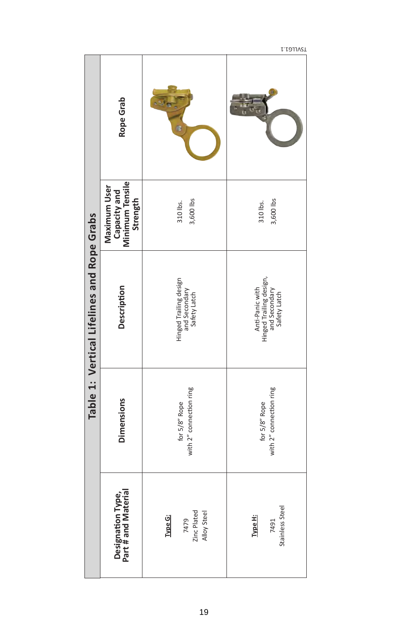|                                            | Rope Grab                                                   | $\frac{1}{2}$                                           |                                                                             |
|--------------------------------------------|-------------------------------------------------------------|---------------------------------------------------------|-----------------------------------------------------------------------------|
|                                            | Minimum Tensile<br>Maximum User<br>Capacity and<br>Strength | 3,600 lbs<br>310 lbs.                                   | 3,600 lbs<br>310 lbs.                                                       |
| Table 1: Vertical Lifelines and Rope Grabs | Description                                                 | Hinged Trailing design<br>and Secondary<br>Safety Latch | Anti-Panic with<br>Hinged Trailing design,<br>and Secondary<br>Safety Latch |
|                                            | <b>Dimensions</b>                                           | with 2" connection ring<br>for 5/8" Rope                | with 2" connection ring<br>for 5/8" Rope                                    |
|                                            | <b>Designation Type,<br/>Part # and Material</b>            | Zinc Plated<br>Alloy Steel<br>Type G:<br>7479           | Stainless Steel<br>Type H:<br>7491                                          |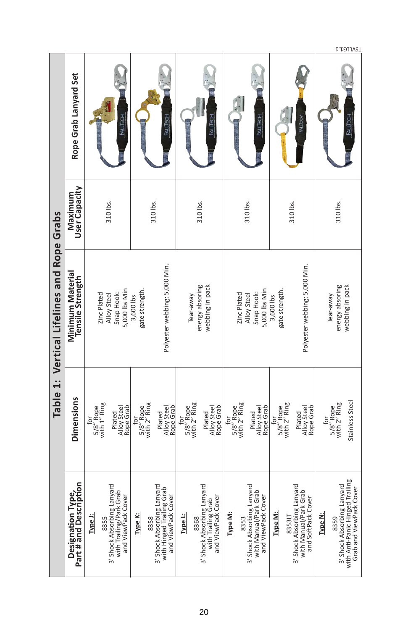|                                            | Rope Grab Lanyard Set                       | <b>FALLTECH</b>                                                                                | <b>FALLTECH</b>                                                                                  | <b>FALLTECH</b>                                                                           | <b>FALLTECH</b>                                                                              | <b>RALITECH</b>                                                                                       | <b>FALLTECH</b>                                                                                             |
|--------------------------------------------|---------------------------------------------|------------------------------------------------------------------------------------------------|--------------------------------------------------------------------------------------------------|-------------------------------------------------------------------------------------------|----------------------------------------------------------------------------------------------|-------------------------------------------------------------------------------------------------------|-------------------------------------------------------------------------------------------------------------|
|                                            | User Capacity<br>Maximum                    | 310 lbs.                                                                                       | 310 lbs.                                                                                         | 310 lbs.                                                                                  | 310 lbs.                                                                                     | 310 lbs.                                                                                              | 310 lbs.                                                                                                    |
| Table 1: Vertical Lifelines and Rope Grabs | Minimum Material<br>Tensile Strength        | 5,000 lbs Min<br>Snap Hook:<br>Zinc Plated<br>Alloy Steel                                      | Polyester webbing: 5,000 Min.<br>gate strength.<br>3,600 lbs                                     | energy absoring<br>webbing in pack<br>Tear-away                                           | 5,000 lbs Min<br>Snap Hook:<br>Zinc Plated<br>Alloy Steel                                    | Polyester webbing: 5,000 Min.<br>gate strength.<br>3,600 lbs                                          | energy absoring<br>webbing in pack<br>Tear-away                                                             |
|                                            | <b>Dimensions</b>                           | 5/8" Rope<br>with 1" Ring<br>Rope Grab<br>Alloy Steel<br>Plated<br>for                         | $5/8''$ Rope<br>with $2''$ Ring<br>Alloy Steel<br>Ropé Grab<br>Plated<br>ŏ                       | 5/8" Rope<br>with 2" Ring<br>Alloy Steel<br>Ropé Grab<br>Plated<br>tor                    | $5/8''$ Rope<br>with $2''$ Ring<br>Alloy Steel<br>Ropé Grab<br>Plated<br>tor                 | $5/8''$ Rope<br>with $2''$ Ring<br>Alloy Steel<br>Rope Grab<br>Plated<br>ŏ                            | Stainless Steel<br>$5/8''$ Rope<br>with $2''$ Ring<br>6r                                                    |
|                                            | Designation Type,<br>Part # and Description | 3' Shock Absorbing Lanyard<br>with Trailing/Park Grab<br>and ViewPack Cover<br>Type J:<br>8355 | 3' Shock Absorbing Lanyard<br>with Hinged Trailing Grab<br>and ViewPack Cover<br>Type K:<br>8358 | 3' Shock Absorbing Lanyard<br>and ViewPack Cover<br>with Trailing Grab<br>Type L:<br>8368 | 3' Shock Absorbing Lanyard<br>with Manual/Park Grab<br>and ViewPack Cover<br>Type M:<br>8353 | 3' Shock Absorbing Lanyard<br>with Manual/Park Grab<br>and SoftPack Cover<br><b>Type M:</b><br>8353LT | with Anti-Panic Hinged Trailing<br>3' Shock Absorbing Lanyard<br>Grab and ViewPack Cover<br>Type N:<br>8359 |

T. ISVLLG1.1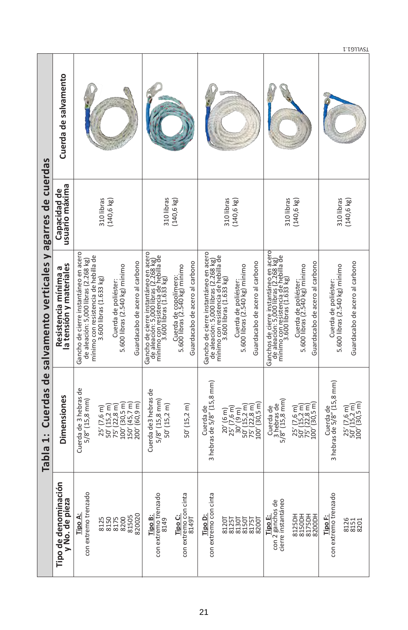|                                                                | Cuerda de salvamento                           |                                                                                                                                                                          |                                                                  |                                                                                                                                                     |                                                                                           |                                                                               |                                                                                                                                                             |                                                                                                                                                    |                                                                                                                                                                                                                |                                                        |                                              |
|----------------------------------------------------------------|------------------------------------------------|--------------------------------------------------------------------------------------------------------------------------------------------------------------------------|------------------------------------------------------------------|-----------------------------------------------------------------------------------------------------------------------------------------------------|-------------------------------------------------------------------------------------------|-------------------------------------------------------------------------------|-------------------------------------------------------------------------------------------------------------------------------------------------------------|----------------------------------------------------------------------------------------------------------------------------------------------------|----------------------------------------------------------------------------------------------------------------------------------------------------------------------------------------------------------------|--------------------------------------------------------|----------------------------------------------|
|                                                                | usuario máxima<br>Capacidad de                 | 310 libras<br>$(140, 6 \text{ kg})$                                                                                                                                      |                                                                  | 310 libras                                                                                                                                          | $(140, 6 \text{ kg})$                                                                     |                                                                               | 310 libras<br>$(140, 6 \text{ kg})$                                                                                                                         | 310 libras                                                                                                                                         | $(140, 6 \text{ kg})$                                                                                                                                                                                          | 310 libras                                             | $(140, 6 \text{ kg})$                        |
| Tabla 1: Cuerdas de salvamento verticales y agarres de cuerdas | Resistencia mínima a<br>a tensión y materiales | Gancho de cierre instantáneo en acero<br>mínimo con resistencia de hebilla de<br>de aleación: 5,000 libras (2.268 kg)<br>3.600 libras (1.633 kg)<br>Cuerda de poliéster: | Guardacabo de acero al carbono<br>5.600 libras (2.540 kg) mínimo | Gancho de cierre instantáneo en acero<br>de aleación: 5,000 libras (2,268 kg)<br>mínimo - 3,600 libras (1,633 kg)<br>mínimo - 600 libras (1,633 kg) | Guardacabo de acero al carbono<br>Cuerda de copolímero:<br>5.600 libras (2.540 kg) mínimo | Gancho de cierre instantáneo en acero<br>de aleación: 5,000 libras (2.268 kg) | mínimo con resistencia de hebilla de<br>3.600 libras (1.633 kg)<br>Guardacabo de acero al carbono<br>Cuerda de poliéster:<br>5.600 libras (2.540 kg) mínimo | Ganchos de cierre instantáneo en acero<br>de aleación: 5,000 libras (2,268 kg)<br>mínimo 3,600 libras (1,633 kg)<br>mínimo 3,600 libras (1,633 kg) | Guardacabo de acero al carbono<br>Cuerda de poliéster:<br>5.600 libras (2.540 kg) mínimo                                                                                                                       | 5.600 libras (2.540 kg) mínimo<br>Cuerda de poliéster: | Guardacabo de acero al carbono               |
|                                                                | <b>Dimensiones</b>                             | Cuerda de 3 hebras de<br>$5/8''$ (15,8 mm)<br>50' (15, 2 m)<br>$(22, 8 \text{ m})$<br>25' (7,6 m)<br>75'                                                                 | $100'$ $(30,5 \text{ m})$<br>150' (45,7 m)<br>$200'$ (60.9 m)    | Cuerda de3 hebras de<br>$5/8''$ (15,8 mm)<br>50'(15, 2 m)                                                                                           | $50'(15, 2 \text{ m})$                                                                    | 3 hebras de 5/8" (15,8 mm)<br>Cuerda de                                       | $20'$ (6 m)<br>$25'$ (7,6 m)<br>$30'$ (9 m)<br>50' (15,2 m)<br>75' (22,8 m)<br>75' (20,5 m)                                                                 | $5/8''$ (15,8 mm)<br>3 hebras de<br>Cuerda de                                                                                                      | $\frac{25'}{50'}\left(\frac{7}{15}, \frac{6}{2} \text{ m}\right)$<br>$\frac{75'}{75'}\left(\frac{25}{22}, \frac{8}{8} \text{ m}\right)$<br>$\frac{100'}{305} \left(\frac{30}{5}, \frac{6}{2} \text{ m}\right)$ | Cuerda de<br>3 hebras de 5/8" (15,8 mm)                | 25' (7,6 m)<br>50' (15,2 m)<br>100' (30,5 m) |
|                                                                | Tipo de denominación<br>y No. de pieza         | con extremo trenzado<br>Tipo A:<br>8150<br>8125<br>8175                                                                                                                  | 320020<br>81505<br>8200                                          | con extremo trenzado<br>Tipo B:<br>8149                                                                                                             | con extremo con cinta<br>ن<br>Tipo C:<br>T6718                                            | con extremo con cinta<br>Tipo D:                                              | 8125T<br>8130T<br>8150T<br>8175T<br>8200T<br>8120T                                                                                                          | con 2 ganchos de<br>cierre instantáneo<br>Tipo E:                                                                                                  | 8150DH<br>8175DH<br>8125DH<br>8200DH                                                                                                                                                                           | con extremo trenzado<br>Tipo F:                        | 8151<br>8151<br>8201                         |

T. LOUIST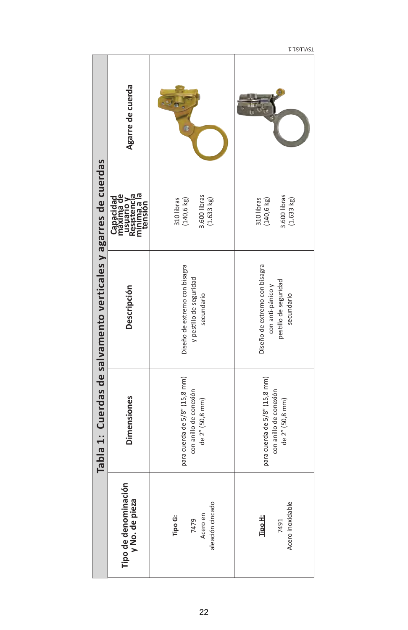|                                                                |                                                                                  |                                                                            | <b>L. LOJJVET</b>                                                                         |
|----------------------------------------------------------------|----------------------------------------------------------------------------------|----------------------------------------------------------------------------|-------------------------------------------------------------------------------------------|
|                                                                | Agarre de cuerda                                                                 |                                                                            |                                                                                           |
|                                                                | Capacidad<br>maxima de<br>usuario Y<br>Resistencia<br>minima a la<br>minima a la | 3.600 libras<br>310 libras<br>(140,6 kg)<br>(1.633 kg)                     | 3.600 libras<br>(1.633 kg)<br>310 libras<br>$(140, 6 \text{ kg})$                         |
| Tabla 1: Cuerdas de salvamento verticales y agarres de cuerdas | Descripción                                                                      | Diseño de extremo con bisagra<br>y pestillo de seguridad<br>secundario     | Diseño de extremo con bisagra<br>pestillo de seguridad<br>con anti-pánico y<br>secundario |
|                                                                | <b>Dimensiones</b>                                                               | para cuerda de 5/8" (15,8 mm)<br>con anillo de conexión<br>de 2" (50,8 mm) | para cuerda de 5/8" (15,8 mm)<br>con anillo de conexión<br>de 2" (50,8 mm)                |
|                                                                | Tipo de denominación<br>y No. de pieza                                           | aleación cincado<br>Acero en<br>Tipo G:<br>7479                            | Acero inoxidable<br><b>Tipo H:</b><br>7491                                                |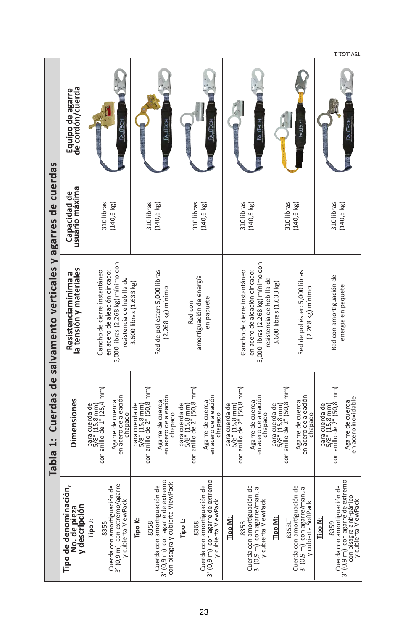|                                                                |                                                        |                                                                |                                                                 |                                                                |                                                                                                    |                                                                |                                                                                        |                                                                |                                                                                                                                  |                                                                          |                                                                                    |                |                                                                | L'IDINSI                                                                           |
|----------------------------------------------------------------|--------------------------------------------------------|----------------------------------------------------------------|-----------------------------------------------------------------|----------------------------------------------------------------|----------------------------------------------------------------------------------------------------|----------------------------------------------------------------|----------------------------------------------------------------------------------------|----------------------------------------------------------------|----------------------------------------------------------------------------------------------------------------------------------|--------------------------------------------------------------------------|------------------------------------------------------------------------------------|----------------|----------------------------------------------------------------|------------------------------------------------------------------------------------|
|                                                                | Equipo de agarre<br>de cordón/cuerda                   |                                                                | <b>FALLTECH</b>                                                 |                                                                | <b>FALLTECH</b>                                                                                    |                                                                | <b>FALLTECH</b>                                                                        | $\sum_{i=1}^{n}$                                               | <b>FALLTECH</b>                                                                                                                  |                                                                          | <b>FALLTECHT</b>                                                                   |                |                                                                | <b>FALLTECH</b>                                                                    |
|                                                                | usuario maxima<br>Capacidad de                         | 310 libras<br>$(140, 6 \text{ kg})$                            |                                                                 | 310 libras                                                     | $(140, 6 \text{ kg})$                                                                              | 310 libras                                                     | $(140, 6 \text{ kg})$                                                                  |                                                                | 310 libras<br>$(140, 6 \text{ kg})$                                                                                              | 310 libras                                                               | $(140, 6 \text{ kg})$                                                              |                | 310 libras<br>$(140, 6 \text{ kg})$                            |                                                                                    |
| Tabla 1: Cuerdas de salvamento verticales y agarres de cuerdas | Resistenciamínima a<br>la tensión y materiales         | Gancho de cierre instantáneo<br>en acero de aleación cincado:  | 5,000 libras (2.268 kg) mínimo con<br>resistencia de hebilla de | 3.600 libras (1.633 kg)                                        | Red de poliéster: 5,000 libras<br>$(2.268 kg)$ mínimo                                              | Red con                                                        | amortiguación de energía<br>en paquete                                                 |                                                                | 5,000 libras (2.268 kg) mínimo con<br>Gancho de cierre instantáneo<br>en acero de aleación cincado:<br>resistencia de hebilla de | 3.600 libras (1.633 kg)                                                  | Red de poliéster: 5,000 libras<br>$(2.268 kg)$ mínimo                              |                | Red con amortiguación de<br>energia en paquete                 |                                                                                    |
|                                                                | <b>Dimensiones</b>                                     | para cuerda de<br>5/8" (15,8 mm)<br>con anillo de 1" (25,4 mm) | en acero de aleación<br>Agarre de cuerda<br>chapado             | para cuerda de<br>5/8" (15,8 mm)<br>con anillo de 2" (50,8 mm) | en acero de aleación<br>Agarre de cuerda<br>chapado                                                | para cuerda de<br>5/8" (15,8 mm)<br>con anillo de 2" (50,8 mm) | en acero de aleación<br>Agarre de cuerda<br>chapado                                    | para cuerda de<br>5/8" (15,8 mm)<br>con anillo de 2" (50,8 mm) | en acero de aleación<br>Agarre de cuerda<br>chapado                                                                              | $\frac{5}{8}$ , (15,8 mm)<br>con anillo de 2" (50,8 mm)<br>be brend a de | en acero de aleación<br>Agarre de cuerda<br>chapado                                |                | para cuerda de<br>5/8" (15,8 mm)<br>con anillo de 2" (50,8 mm) | en acero inoxidable<br>Agarre de cuerda                                            |
|                                                                | Tipo de denominación,<br>v descripción<br>No. de pieza | Cuerda con amortiguación de<br>Tipo J:<br>8355                 | 3' (0,9 m) con extremo/agarre<br>v cubierta ViewPack            | Tipo K:<br>8358                                                | 3' (0,9 m) con agarre de extremo<br>con bisagra y cubierta ViewPack<br>Cuerda con amortiguación de | <u>Fipo L:</u><br>8368                                         | 3' (0,9 m) con agarre de extremo<br>Cuerda con amortiguación de<br>y cubierta ViewPack | Tipo M:                                                        | Cuerda con amortiguación de<br>3' (0,9 m) con agarre/manual<br>v cubierta ViewPack<br>8353                                       | Tipo M:<br>8353LT                                                        | Cuerda con amortiguación de<br>3' (0,9 m) con agarre/manual<br>v cubierta SoftPack | <u>Tipo N:</u> | Cuerda con amortiguación de<br>8359                            | 3' (0,9 m) con agarre de extremo<br>con bisagra anti-pánico<br>v cubierta ViewPack |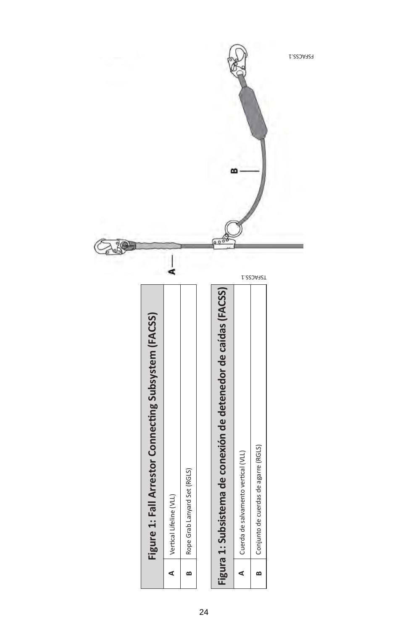|                                                         |                              |                              |                                                                 |                                     |                                                   | FSFACSS.1 |
|---------------------------------------------------------|------------------------------|------------------------------|-----------------------------------------------------------------|-------------------------------------|---------------------------------------------------|-----------|
| Arrestor Connecting Subsystem (FACSS)<br>Figure 1: Fall | è<br>Vertical Lifeline (VLL) | Rope Grab Lanyard Set (RGLS) | Figura 1: Subsistema de conexión de detenedor de caídas (FACSS) | Cuerda de salvamento vertical (VLL) | I.25DA72T<br>Conjunto de cuerdas de agarre (RGLS) |           |
|                                                         | ⋖                            | ≃                            |                                                                 | ⋖                                   | ≃                                                 |           |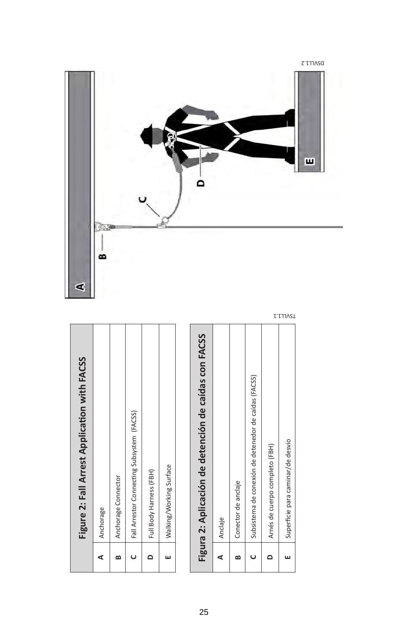|   | Figure 2: Fall Arrest Application with FACSS |  |
|---|----------------------------------------------|--|
| ⋖ | Anchorage                                    |  |
| B | Anchorage Connector                          |  |
| ပ | Fall Arrestor Connecting Subsystem (FACSS)   |  |
| ≏ | Full Body Harness (FBH)                      |  |
| ш | Walking/Working Surface                      |  |

|   | Figura 2: Aplicación de detención de caídas con FACSS |
|---|-------------------------------------------------------|
| ⋖ | Anclaje                                               |
| œ | Conector de anclaje                                   |
|   | Subsistema de conexión de detenedor de caídas (FACSS) |
| Ċ | Arnés de cuerpo completo (FBH)                        |
|   | Superficie para caminar/de desvío                     |

 $\mathfrak{t}$   $\mathfrak{t}$   $\mathfrak{t}$   $\mathfrak{t}$   $\mathfrak{t}$   $\mathfrak{t}$   $\mathfrak{t}$ 

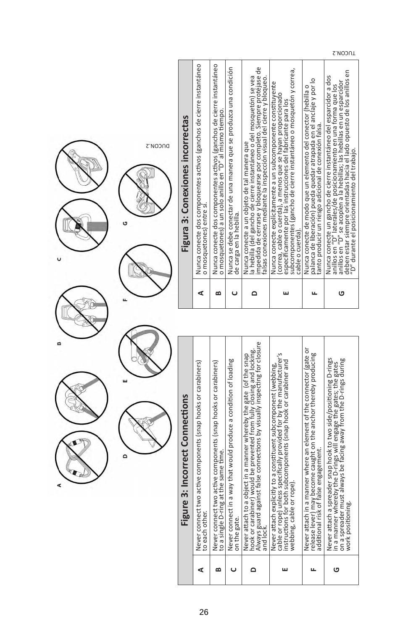

TUCON.2

εñ

deben estar siempre orientadas hacia el lado opuesto de los anillos<br>"D" durante el posicionamiento del trabajo.

**ABCD** **E**

**F**

**G**

work positioning.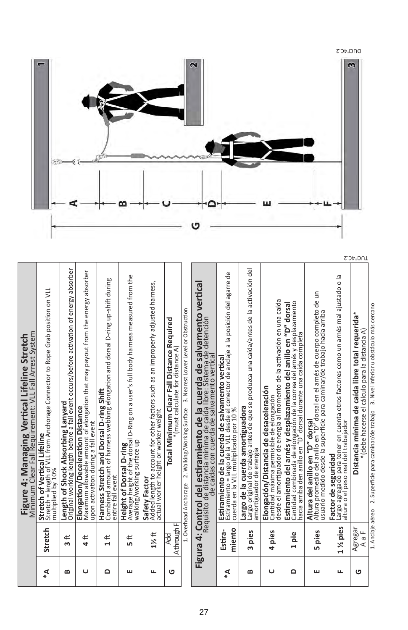|                |                               | <b>Figure 4: Managing Vertical Lifeline Stretch</b><br>Minimum Clear Fall Requirement: VLL Fall Arrest System                                                                                                    |
|----------------|-------------------------------|------------------------------------------------------------------------------------------------------------------------------------------------------------------------------------------------------------------|
| $\mathbf{z}^*$ | Stretch                       | Stretch = length of VLL from Anchorage Connector to Rope Grab position on VLL<br>Stretch of Vertical Lifeline<br>multiplied by 10%                                                                               |
| ≃              | ⇇<br>$\omega$                 | <b>Length of Shock Absorbing Lanyard</b><br>Original working length before a fall event occurs/before activation of energy absorber                                                                              |
| Ō              | 4 <sup>†</sup>                | Elongation/Deceleration Distance<br>Maximum allowable amount of elongation that may payout from the energy absorber<br>upon activation during a fall event                                                       |
| ۵              | ₽<br>⊣                        | Combined amount of harness webbing elongation and dorsal D-ring up-shift during<br>Harness Stretch and Dorsal D-ring Shift<br>entire fall event                                                                  |
| ш              | 5 ft                          | Average height of the dorsal D-Ring on a user's full body harness measured from the<br>walking/working surface up<br>Height of Dorsal D-ring                                                                     |
| ட              | $1\frac{1}{2}$ ft             | Added length to account for other factors such as an improperly adjusted harness,<br>actual worker height or worker weight<br>Safety Factor                                                                      |
| O              | Athrough F<br>Add             | Total Minimum Clear Fall Distance Required<br>*(must calculate for distance A)                                                                                                                                   |
|                |                               | 2. Walking/Working Surface 3. Nearest Lower Level or Obstruction<br>1. Overhead Anchorage                                                                                                                        |
|                |                               | Figura 4: Control del estiramiento de la cuerda de salvamento vertical<br>Requisito de distancia minuade casalaline: Sistema de detención                                                                        |
| 4              | miento<br>Estira-             | Estiramiento = largo de la VLL desde el conector de anclaje a la posición del agarre de<br>cuerda en la VLL multiplicado por 10 %<br>Estiramiento de la cuerda de salvamento vertical                            |
| ≃              | pies<br>m                     | Largo original de trabajo antes de que se produzca una caída/antes de la activación del<br>Largo de la cuerda amortiguadora<br>amortiguador de energía                                                           |
| ں              | 4 pies                        | desde el amortiguador de energía al momento de la activación en una caída<br>Elongación/Distancia de desaceleración<br>Cantidad máxima permisible de elongación                                                  |
| ۵              | jaie<br>$\mathbf{\mathbf{t}}$ | Cantidad combinada de elongación de la correa del arnés y desplazamiento<br>hacia arriba den anillo en "D" dorsal durante una caída completa<br>Estiramiento del arnés y desplazamiento del anillo en "D" dorsal |
| ш              | 5 pies                        | <b>Altura del anillo en "D" dorsal</b><br>usuario medido del alib en fície de la el amés de cuerpo completo de un<br>usuario medido del alib en fície para caminar/de trabajo hacia arriba                       |
| ட              | 1 % pies                      | $\zeta$<br>Largo agregado para tener en cuenta otros factores como un arnés mai ajustado o la<br>altura o el peso real del trabajador<br>Factor de seguridad                                                     |

1. Anclaje aéreo 2. Superficie para caminar/de trabajo 3. Nivel inferior u obstáculo más cercano 1. Anclaje aéreo 2. Superficie para caminar/de trabajo 3. Nivel inferior u obstáculo más cercano Distancia mínima de caída libre total requerida\*<br>\*(debe hacerse el cálculo para la distancia A) \*(debe hacerse el cálculo para la distancia A)

**Distancia mínima de caída libre total requerida**\*

**G**

Agregar A a F

TUCF4C.2

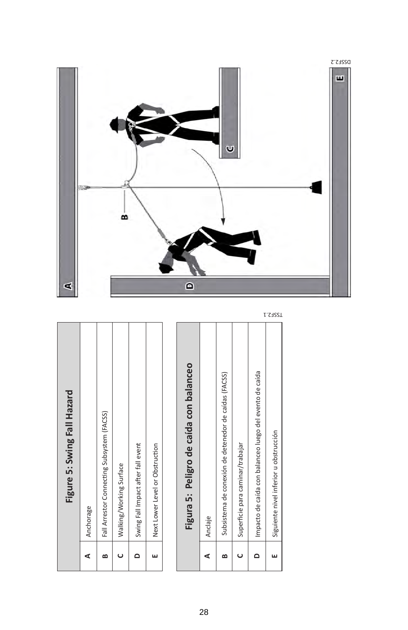|         | Figure 5: Swing Fall Hazard                |
|---------|--------------------------------------------|
| ⋖       | Anchorage                                  |
| œ       | Fall Arrestor Connecting Subsystem (FACSS) |
|         | Walking/Working Surface                    |
| $\circ$ | Swing Fall Impact after fall event         |
| L       | Next Lower Level or Obstruction            |
|         |                                            |

|                          | Figura 5: Peligro de caída con balanceo                 |
|--------------------------|---------------------------------------------------------|
| ⋖                        | Anclaje                                                 |
| œ                        | Subsistema de conexión de detenedor de caídas (FACSS)   |
|                          | Superficie para caminar/trabajar                        |
| $\overline{\phantom{a}}$ | Impacto de caída con balanceo luego del evento de caída |
| ц                        | Siguiente nivel inferior u obstrucción                  |
|                          |                                                         |

TSSF2.1

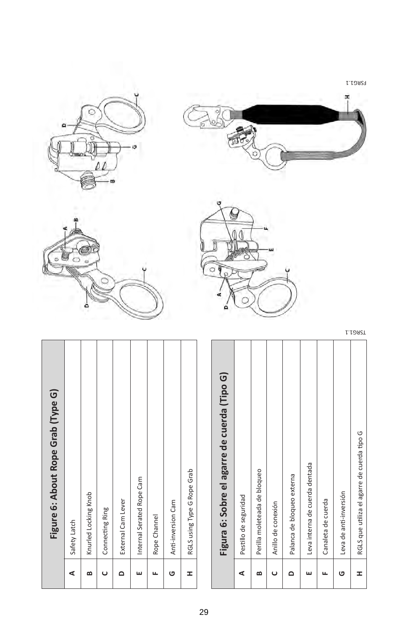| Figure 6: About Rope Grab (Type G) | Safety Latch | Knurled Locking Knob | Connecting Ring | External Cam Lever | Internal Serated Rope Cam | Rope Channel | Anti-inversion Cam | RGLS using Type G Rope Grab |
|------------------------------------|--------------|----------------------|-----------------|--------------------|---------------------------|--------------|--------------------|-----------------------------|
|                                    |              |                      |                 |                    |                           |              |                    |                             |
|                                    | ⋖            | ≃                    |                 |                    | ш                         |              | G                  | I                           |

|   | Figura 6: Sobre el agarre de cuerda (Tipo G) |
|---|----------------------------------------------|
| ⋖ | Pestillo de seguridad                        |
| B | Perilla moleteada de bloqueo                 |
|   | Anillo de conexión                           |
|   | Palanca de bloqueo externa                   |
| ш | Leva interna de cuerda dentada               |
|   | Canaleta de cuerda                           |
| G | Leva de anti-inversión                       |
| I | RGLS que utiliza el agarre de cuerda tipo G  |
|   |                                              |











FSRG1.1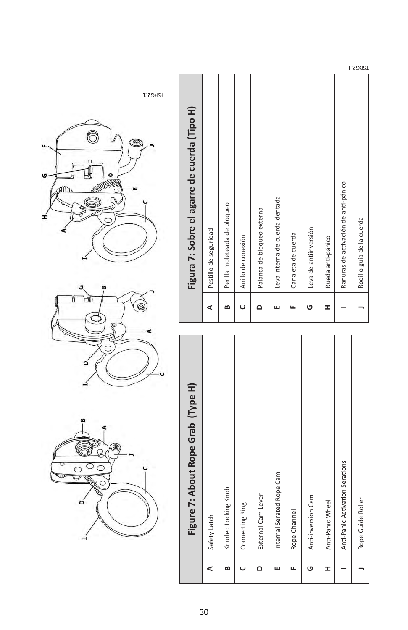





FSRG2.1

|    | Figure 7: About Rope Grab (Type H) |
|----|------------------------------------|
| ⋖  | Safety Latch                       |
| œ  | Knurled Locking Knob               |
|    | Connecting Ring                    |
| ≏  | External Cam Lever                 |
| ш  | Internal Serated Rope Cam          |
|    | Rope Channel                       |
| O  | Anti-inversion Cam                 |
| Ŧ, | Anti-Panic Wheel                   |
|    | Anti-Panic Activation Serations    |
|    | Rope Guide Roller                  |
|    |                                    |

| Figure 7: About Rope Grab (Type H) |              | Figura 7: Sobre el agarre de cuerda (Tipo H) |
|------------------------------------|--------------|----------------------------------------------|
| safety Latch                       | ⋖            | Pestillo de seguridad                        |
| Knurled Locking Knob               | $\mathbf{a}$ | Perilla moleteada de bloqueo                 |
| Connecting Ring                    |              | Anillo de conexión                           |
| External Cam Lever                 | ≏            | Palanca de bloqueo externa                   |
| nternal Serated Rope Cam           | ш            | Leva interna de cuerda dentada               |
| Rope Channel                       |              | Canaleta de cuerda                           |
| Anti-inversion Cam                 | G            | Leva de antiinversión                        |
| Anti-Panic Wheel                   | I            | Rueda anti-pánico                            |
| Anti-Panic Activation Serations    |              | τ<br>Ranuras de activación de anti-pánico    |
| Rope Guide Roller                  |              | <b>SARST</b><br>Rodillo guía de la cuerda    |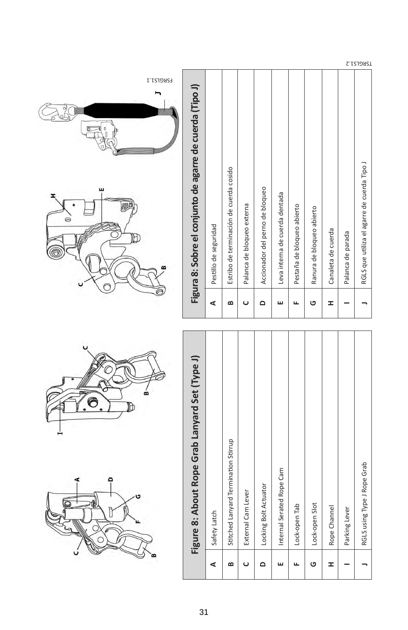





 $\overline{9}$ 

FSRGLS1.1

|        | Figure 8: About Rope Grab Lanyard Set (Type J) |          | Figura 8: Sobre el conjunto de agarre de cuerda (Tipo J) |
|--------|------------------------------------------------|----------|----------------------------------------------------------|
| ⋖      | Safety Latch                                   | ⋖        | Pestillo de seguridad                                    |
| B      | Stitched Lanyard Termination Stirrup           | ≃        | Estribo de terminación de cuerda cosido                  |
| Ō      | External Cam Lever                             | Ō        | Palanca de bloqueo externa                               |
| $\sim$ | Locking Bolt Actuator                          | $\Omega$ | Accionador del perno de bloqueo                          |
| ш      | Internal Serated Rope Cam                      | ш        | Leva interna de cuerda dentada                           |
| щ      | Lock-open Tab                                  | щ        | Pestaña de bloqueo abierto                               |
| G      | Lock-open Slot                                 | G        | Ranura de bloqueo abierto                                |
| I      | Rope Channel                                   | I        | Canaleta de cuerda                                       |
|        | Parking Lever                                  |          | Palanca de parada                                        |
|        | RGLS using Type J Rope Grab                    |          | RGLS que utiliza el agarre de cuerda Tipo J              |

|   | Figura 8: Sobre el conjunto de agarre de cuerda (Tipo J) |
|---|----------------------------------------------------------|
| ⋖ | Pestillo de seguridad                                    |
| ≃ | Estribo de terminación de cuerda cosido                  |
|   | Palanca de bloqueo externa                               |
|   | Accionador del perno de bloqueo                          |
| ш | Leva interna de cuerda dentada                           |
| щ | Pestaña de bloqueo abierto                               |
| G | Ranura de bloqueo abierto                                |
| I | Canaleta de cuerda                                       |
|   | Palanca de parada                                        |
|   | RGLS que utiliza el agarre de cuerda Tipo J              |
|   |                                                          |

**TSRGLS1.2**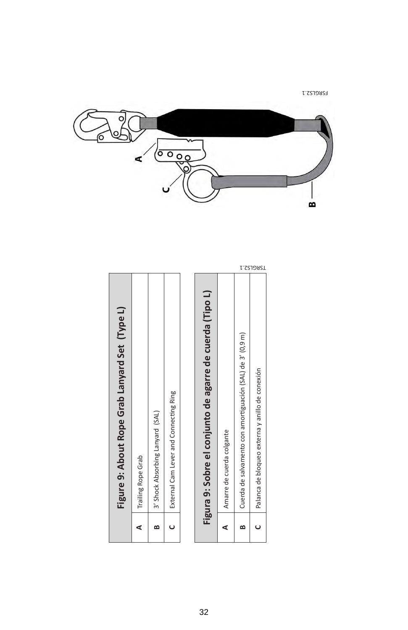

|   | Figure 9: About Rope Grab Lanyard Set (Type L)             |           |
|---|------------------------------------------------------------|-----------|
| ⊄ | Trailing Rope Grab                                         |           |
| ≃ | 3' Shock Absorbing Lanyard (SAL)                           |           |
|   | External Cam Lever and Connecting Ring                     |           |
|   |                                                            |           |
|   | Figura 9: Sobre el conjunto de agarre de cuerda (Tipo L)   |           |
| ⋖ | Amarre de cuerda colgante                                  |           |
| ≃ | Cuerda de salvamento con amortiguación (SAL) de 3' (0,9 m) |           |
|   | Palanca de bloqueo externa y anillo de conexión            | L'ESTONS1 |

FSRGLS2.1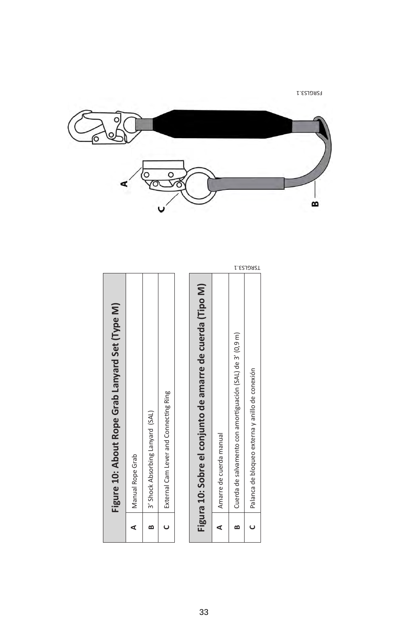

|   | Figure 10: About Rope Grab Lanyard Set (Type M)            |
|---|------------------------------------------------------------|
| ⋖ | Manual Rope Grab                                           |
| ≃ | 3' Shock Absorbing Lanyard (SAL)                           |
|   | External Cam Lever and Connecting Ring                     |
|   |                                                            |
|   | Figura 10: Sobre el conjunto de amarre de cuerda (Tipo M)  |
| ⋖ | Amarre de cuerda manual                                    |
| œ | Cuerda de salvamento con amortiguación (SAL) de 3' (0,9 m) |
|   | Palanca de bloqueo externa y anillo de conexión            |

FSRGLS3.1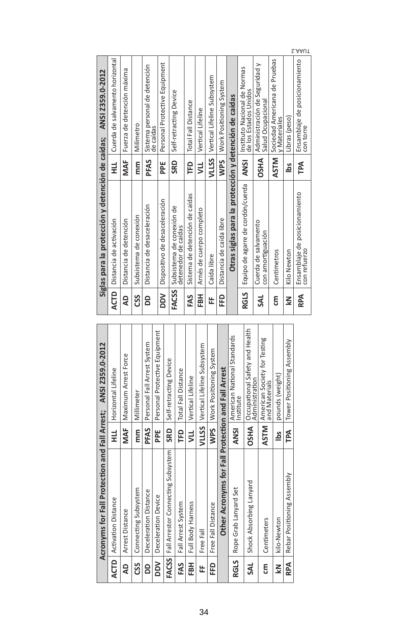|             | Acronyms for Fall Protection and Fall Arrest; ANSI Z359.0-2012 |             |                                                  |             | Siglas para la protección y detención de caídas; ANSI Z359.0-2012 |             |                                                  |
|-------------|----------------------------------------------------------------|-------------|--------------------------------------------------|-------------|-------------------------------------------------------------------|-------------|--------------------------------------------------|
| <b>ACTD</b> | <b>Activation Distance</b>                                     | $\vec{t}$   | Horizontal Lifeline                              |             | ACTD   Distancia de activación                                    | $\vec{t}$   | Cuerda de salvamento horizo                      |
| ą           | Arrest Distance                                                | MAF         | Maximum Arrest Force                             | å           | Distancia de detención                                            | MAF         | Fuerza de detención máxima                       |
| ပ္သိ        | Connecting Subsystem                                           | mm          | Millimeter                                       | CSS         | Subsistema de conexión                                            | mm          | Milimetro                                        |
| <u>ទ</u>    | Deceleration Distance                                          | PFAS        | Personal Fall Arrest System                      | 8           | Distancia de desaceleración                                       | PFAS        | Sistema personal de detenció                     |
| $\geq$      | Deceleration Device                                            | PPE         | Personal Protective Equipment                    |             |                                                                   |             | de caídas                                        |
|             | FACSS   Fall Arrestor Connecting Subsystem                     | SRD         | Self-retracting Device                           | $\geq$      | Dispositivo de desaceleración                                     | PPE         | Personal Protective Equipme                      |
|             |                                                                |             |                                                  | FACSS       | Subsistema de conexión de                                         | SRD         | Self-retracting Device                           |
| EAS<br>E    | Fall Arrest System                                             | Ê           | <b>Total Fall Distance</b>                       |             | detenedor de caídas                                               |             |                                                  |
| <b>FBH</b>  | Full Body Harness                                              | šт          | Vertical Lifeline                                | FAS         | Sistema de detención de caídas                                    | FP          | <b>Total Fall Distance</b>                       |
| Ë           | Free Fall                                                      | VLLSS       | Vertical Lifeline Subsystem                      | FBH         | Arnés de cuerpo completo                                          | yп          | Vertical Lifeline                                |
| EED         | Free Fall Distance                                             | WPS         | Work Positioning System                          | 뚠           | Caída libre                                                       |             | VLLSS   Vertical Lifeline Subsystem              |
|             | Other Acronyms for Fall Protection and Fall Arrest             |             |                                                  | 운           | Distancia de caída libre                                          |             | WPS Work Positioning System                      |
| <b>RGLS</b> | Rope Grab Lanyard Set                                          | <b>ANSI</b> | American National Standards                      |             | Otras siglas para la protección y detención de caídas             |             |                                                  |
|             |                                                                |             | Institute                                        | <b>RGLS</b> | Equipo de agarre de cordón/cuerda                                 |             | ANSI   Instituto Nacional de Norma               |
| <b>SAL</b>  | Shock Absorbing Lanyard                                        | <b>DSHA</b> | Occupational Safety and Health<br>Administration |             | Cuerda de salvamento                                              |             | de los Estados Unidos                            |
| ξ           | Centimeters                                                    | <b>ASTM</b> | American Society for Testing<br>and Materials    | ЗЧ          | con amortiguacion                                                 | <b>DSHA</b> | Administración de Seguridad<br>Salud Ocupacional |
| $\leq$      | kilo-Newton                                                    | وما         | pounds (weight)                                  | ξ           | Centímetros                                                       |             | ASTM Sociedad Americana de Prue<br>v Materiales  |
| RPA         | Rebar Positioning Assembly                                     | TPA         | Tower Positioning Assembly                       | ₹           | Kilo Newton                                                       | Los         | Libras (peso)                                    |
|             |                                                                |             |                                                  | č           | Ensamblaie de nosicionamiento                                     | í           | Freamblaie de nosicionamie                       |

| st; ANSI Z359.0-2012                           |             | Siglas para la protección y detención de caídas; ANSI Z359.0-2012 |             |                                                              |
|------------------------------------------------|-------------|-------------------------------------------------------------------|-------------|--------------------------------------------------------------|
| Horizontal Lifeline                            | <b>ACTD</b> | Distancia de activación                                           | $\vec{t}$   | Cuerda de salvamento horizontal                              |
| Maximum Arrest Force                           | ੩           | Distancia de detención                                            | MAF         | Fuerza de detención máxima                                   |
| Millimeter                                     | SS          | Subsistema de conexión                                            | mm          | Milimetro                                                    |
| Personal Fall Arrest System                    | 8           | Distancia de desaceleración                                       | PFAS        | Sistema personal de detención<br>de caídas                   |
| Personal Protective Equipment                  |             | DDV   Dispositivo de desaceleración                               | PE<br>E     | Personal Protective Equipment                                |
| Self-retracting Device                         |             | FACSS   Subsistema de conexión de                                 | SRD         | Self-retracting Device                                       |
| Total Fall Distance                            |             | detenedor de caídas                                               |             |                                                              |
| Vertical Lifeline                              | FAS         | Sistema de detención de caídas                                    | FP          | <b>Total Fall Distance</b>                                   |
| Vertical Lifeline Subsystem                    | FBH         | Arnés de cuerpo completo                                          | ⋚           | Vertical Lifeline                                            |
| Work Positioning System                        | 岀           | Caída libre                                                       |             | <b>VLLSS</b> Vertical Lifeline Subsystem                     |
| and Fall Arrest                                | EFD         | Distancia de caída libre                                          |             | WPS Work Positioning System                                  |
| American National Standards                    |             | Otras siglas para la protección y detención de caídas             |             |                                                              |
| Occupational Safety and Health<br>Institute    | <b>RGLS</b> | Equipo de agarre de cordón/cuerda                                 |             | ANSI   Instituto Nacional de Normas<br>de los Estados Unidos |
| American Society for Testing<br>Administration | ЗAL         | Cuerda de salvamento<br>con amortiguación                         | <b>OSHA</b> | Administración de Seguridad y<br>Salud Ocupacional           |
| pounds (weight)<br>and Materials               | ξ           | Centimetros                                                       | <b>ASTM</b> | Sociedad Americana de Pruebas<br>v Materiales                |
| Tower Positioning Assembly                     | ₹           | Kilo Newton                                                       | ₫           | Libras (peso)                                                |
|                                                | <b>RPA</b>  | Ensamblaje de posicionamiento<br>con refuerzo                     | ΡÃ          | S.AAUT<br>Ensamblaje de posicionamiento<br>con torre         |